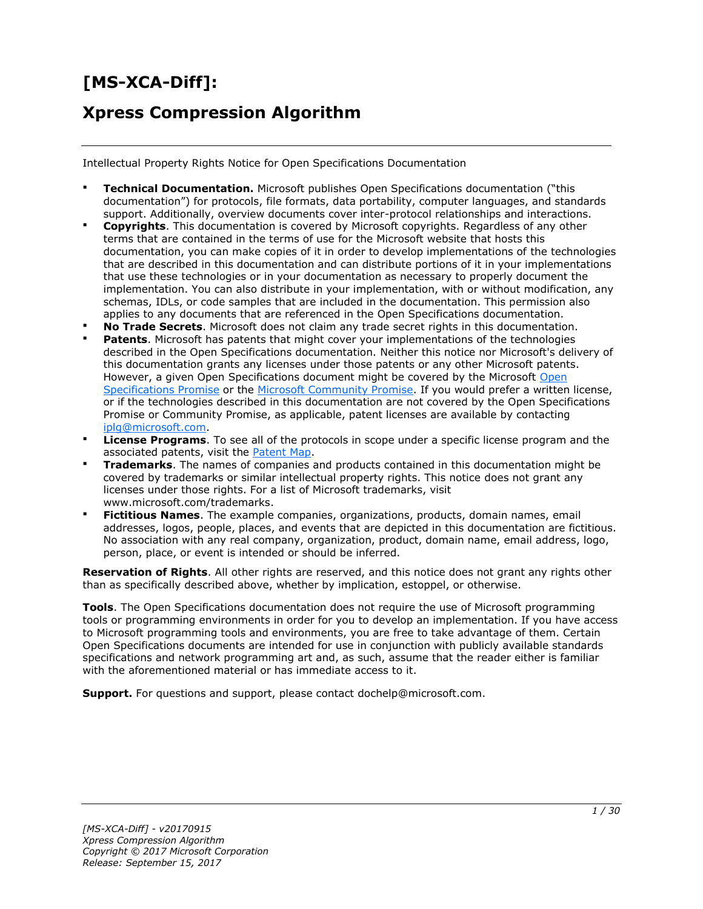# **[MS-XCA-Diff]:**

# **Xpress Compression Algorithm**

Intellectual Property Rights Notice for Open Specifications Documentation

- **Technical Documentation.** Microsoft publishes Open Specifications documentation ("this documentation") for protocols, file formats, data portability, computer languages, and standards support. Additionally, overview documents cover inter-protocol relationships and interactions.
- **Copyrights**. This documentation is covered by Microsoft copyrights. Regardless of any other terms that are contained in the terms of use for the Microsoft website that hosts this documentation, you can make copies of it in order to develop implementations of the technologies that are described in this documentation and can distribute portions of it in your implementations that use these technologies or in your documentation as necessary to properly document the implementation. You can also distribute in your implementation, with or without modification, any schemas, IDLs, or code samples that are included in the documentation. This permission also applies to any documents that are referenced in the Open Specifications documentation.
- **No Trade Secrets**. Microsoft does not claim any trade secret rights in this documentation.
- **Patents**. Microsoft has patents that might cover your implementations of the technologies described in the Open Specifications documentation. Neither this notice nor Microsoft's delivery of this documentation grants any licenses under those patents or any other Microsoft patents. However, a given [Open](http://go.microsoft.com/fwlink/?LinkId=214445) Specifications document might be covered by the Microsoft Open [Specifications Promise](http://go.microsoft.com/fwlink/?LinkId=214445) or the [Microsoft Community Promise.](http://go.microsoft.com/fwlink/?LinkId=214448) If you would prefer a written license, or if the technologies described in this documentation are not covered by the Open Specifications Promise or Community Promise, as applicable, patent licenses are available by contacting [iplg@microsoft.com.](mailto:iplg@microsoft.com)
- **License Programs**. To see all of the protocols in scope under a specific license program and the associated patents, visit the [Patent Map.](https://msdn.microsoft.com/en-us/openspecifications/dn750984)
- **Trademarks**. The names of companies and products contained in this documentation might be covered by trademarks or similar intellectual property rights. This notice does not grant any licenses under those rights. For a list of Microsoft trademarks, visit www.microsoft.com/trademarks.
- **Fictitious Names**. The example companies, organizations, products, domain names, email addresses, logos, people, places, and events that are depicted in this documentation are fictitious. No association with any real company, organization, product, domain name, email address, logo, person, place, or event is intended or should be inferred.

**Reservation of Rights**. All other rights are reserved, and this notice does not grant any rights other than as specifically described above, whether by implication, estoppel, or otherwise.

**Tools**. The Open Specifications documentation does not require the use of Microsoft programming tools or programming environments in order for you to develop an implementation. If you have access to Microsoft programming tools and environments, you are free to take advantage of them. Certain Open Specifications documents are intended for use in conjunction with publicly available standards specifications and network programming art and, as such, assume that the reader either is familiar with the aforementioned material or has immediate access to it.

**Support.** For questions and support, please contact dochelp@microsoft.com.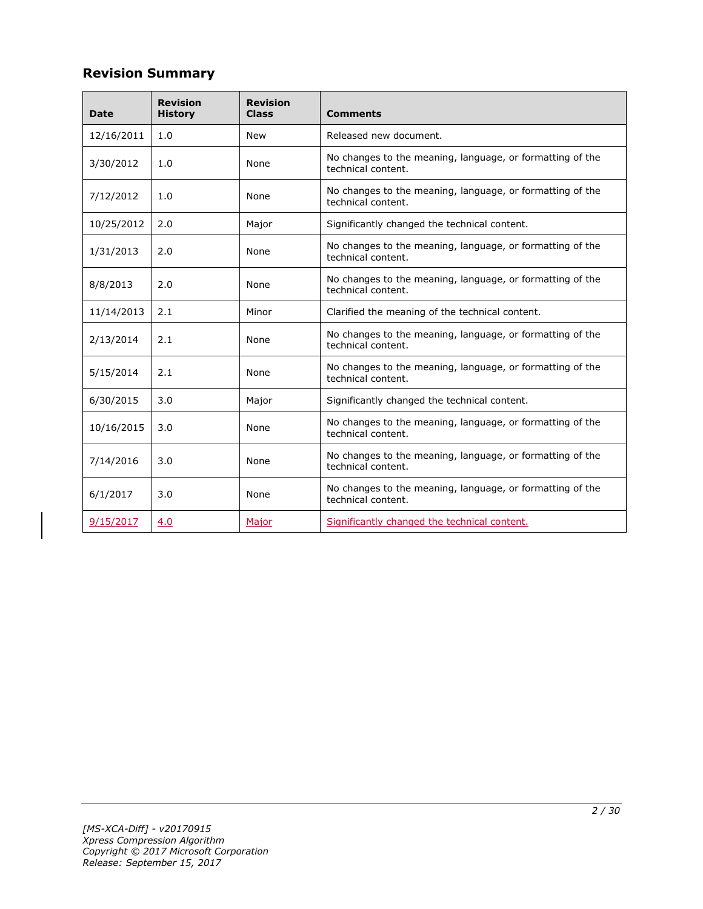# **Revision Summary**

| <b>Date</b> | <b>Revision</b><br><b>History</b> | <b>Revision</b><br><b>Class</b> | <b>Comments</b>                                                                 |  |
|-------------|-----------------------------------|---------------------------------|---------------------------------------------------------------------------------|--|
| 12/16/2011  | 1.0                               | <b>New</b>                      | Released new document.                                                          |  |
| 3/30/2012   | 1.0                               | None                            | No changes to the meaning, language, or formatting of the<br>technical content. |  |
| 7/12/2012   | 1.0                               | None                            | No changes to the meaning, language, or formatting of the<br>technical content. |  |
| 10/25/2012  | 2.0                               | Major                           | Significantly changed the technical content.                                    |  |
| 1/31/2013   | 2.0                               | None                            | No changes to the meaning, language, or formatting of the<br>technical content. |  |
| 8/8/2013    | 2.0                               | None                            | No changes to the meaning, language, or formatting of the<br>technical content. |  |
| 11/14/2013  | 2.1                               | Minor                           | Clarified the meaning of the technical content.                                 |  |
| 2/13/2014   | 2.1                               | None                            | No changes to the meaning, language, or formatting of the<br>technical content. |  |
| 5/15/2014   | 2.1                               | None                            | No changes to the meaning, language, or formatting of the<br>technical content. |  |
| 6/30/2015   | 3.0                               | Major                           | Significantly changed the technical content.                                    |  |
| 10/16/2015  | 3.0                               | None                            | No changes to the meaning, language, or formatting of the<br>technical content. |  |
| 7/14/2016   | 3.0                               | None                            | No changes to the meaning, language, or formatting of the<br>technical content. |  |
| 6/1/2017    | 3.0                               | None                            | No changes to the meaning, language, or formatting of the<br>technical content. |  |
| 9/15/2017   | 4.0                               | Major                           | Significantly changed the technical content.                                    |  |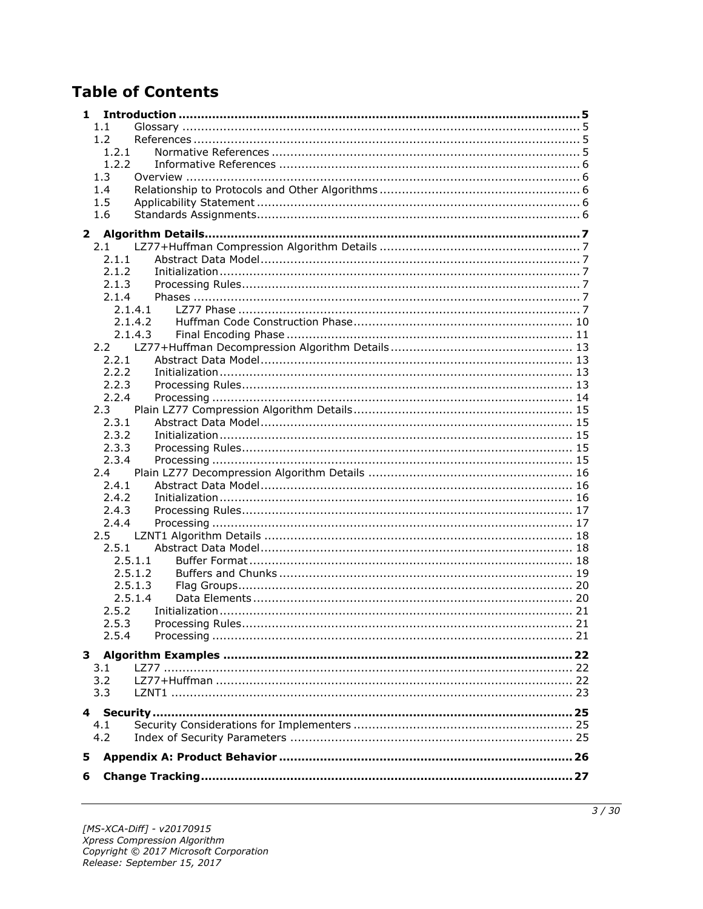# **Table of Contents**

| 1                      |         |  |
|------------------------|---------|--|
| 1.1                    |         |  |
| 1.2                    |         |  |
| 1.2.1                  |         |  |
| 1.2.2                  |         |  |
| 1.3                    |         |  |
| 1.4                    |         |  |
| 1.5                    |         |  |
| 1.6                    |         |  |
| $\mathbf{2}$           |         |  |
| 2.1                    |         |  |
| 2.1.1                  |         |  |
| 2.1.2                  |         |  |
| 2.1.3                  |         |  |
| 2.1.4                  |         |  |
|                        | 2.1.4.1 |  |
|                        | 2.1.4.2 |  |
|                        | 2.1.4.3 |  |
|                        |         |  |
| 2.2.1                  |         |  |
| 2.2.2                  |         |  |
| 2.2.3                  |         |  |
| 2.2.4                  |         |  |
| 2.3                    |         |  |
| 2.3.1                  |         |  |
| 2.3.2                  |         |  |
| 2.3.3                  |         |  |
| 2.3.4                  |         |  |
| 2.4                    |         |  |
| 2.4.1                  |         |  |
| 2.4.2                  |         |  |
| 2.4.3                  |         |  |
| 2.4.4                  |         |  |
| $2.5^{\circ}$<br>2.5.1 |         |  |
|                        | 2.5.1.1 |  |
|                        | 2.5.1.2 |  |
|                        | 2.5.1.3 |  |
|                        | 2.5.1.4 |  |
| 2.5.2                  |         |  |
| 2.5.3                  |         |  |
| 2.5.4                  |         |  |
|                        |         |  |
|                        |         |  |
| 3.1                    |         |  |
| 3.2                    |         |  |
| 3.3                    |         |  |
|                        |         |  |
| 4.1                    |         |  |
| 4.2                    |         |  |
| 5                      |         |  |
|                        |         |  |
| 6                      |         |  |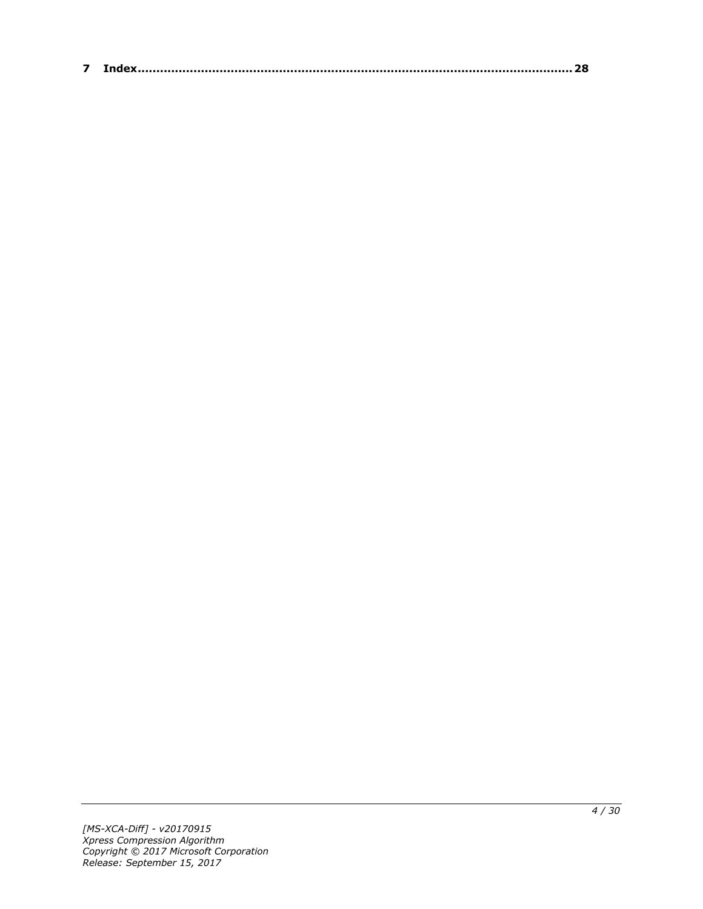| $\sim$ |  |
|--------|--|
|--------|--|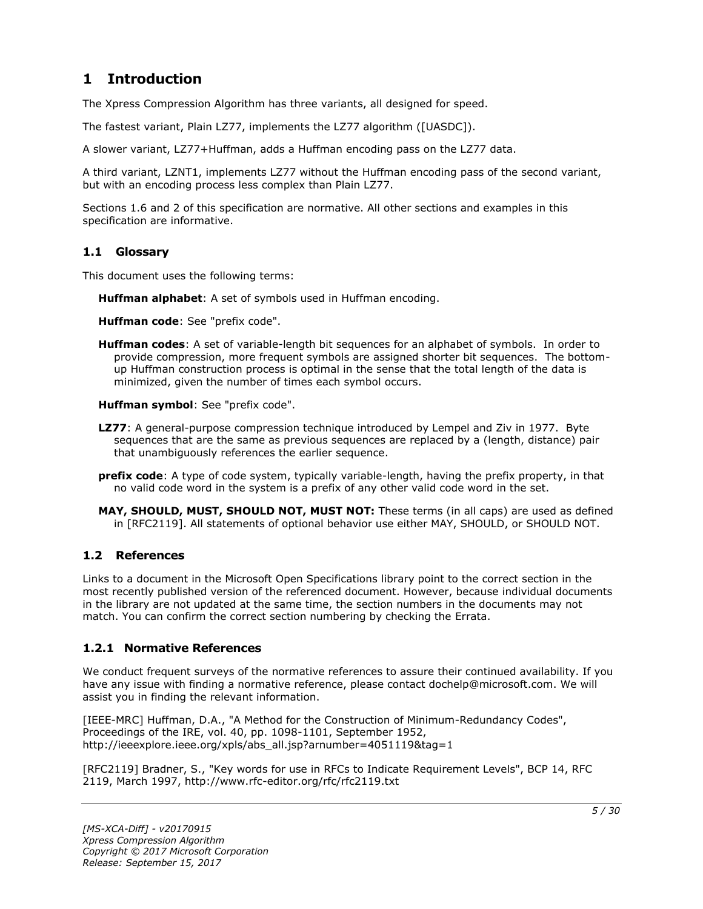# <span id="page-4-0"></span>**1 Introduction**

The Xpress Compression Algorithm has three variants, all designed for speed.

The fastest variant, Plain LZ77, implements the LZ77 algorithm ([UASDC]).

A slower variant, LZ77+Huffman, adds a Huffman encoding pass on the LZ77 data.

A third variant, LZNT1, implements LZ77 without the Huffman encoding pass of the second variant, but with an encoding process less complex than Plain LZ77.

Sections 1.6 and 2 of this specification are normative. All other sections and examples in this specification are informative.

### <span id="page-4-1"></span>**1.1 Glossary**

This document uses the following terms:

**Huffman alphabet**: A set of symbols used in Huffman encoding.

**Huffman code**: See "prefix code".

**Huffman codes**: A set of variable-length bit sequences for an alphabet of symbols. In order to provide compression, more frequent symbols are assigned shorter bit sequences. The bottomup Huffman construction process is optimal in the sense that the total length of the data is minimized, given the number of times each symbol occurs.

**Huffman symbol**: See "prefix code".

- **LZ77**: A general-purpose compression technique introduced by Lempel and Ziv in 1977. Byte sequences that are the same as previous sequences are replaced by a (length, distance) pair that unambiguously references the earlier sequence.
- **prefix code**: A type of code system, typically variable-length, having the prefix property, in that no valid code word in the system is a prefix of any other valid code word in the set.
- **MAY, SHOULD, MUST, SHOULD NOT, MUST NOT:** These terms (in all caps) are used as defined in [RFC2119]. All statements of optional behavior use either MAY, SHOULD, or SHOULD NOT.

# <span id="page-4-2"></span>**1.2 References**

Links to a document in the Microsoft Open Specifications library point to the correct section in the most recently published version of the referenced document. However, because individual documents in the library are not updated at the same time, the section numbers in the documents may not match. You can confirm the correct section numbering by checking the Errata.

# <span id="page-4-3"></span>**1.2.1 Normative References**

We conduct frequent surveys of the normative references to assure their continued availability. If you have any issue with finding a normative reference, please contact dochelp@microsoft.com. We will assist you in finding the relevant information.

[IEEE-MRC] Huffman, D.A., "A Method for the Construction of Minimum-Redundancy Codes", Proceedings of the IRE, vol. 40, pp. 1098-1101, September 1952, http://ieeexplore.ieee.org/xpls/abs\_all.jsp?arnumber=4051119&tag=1

[RFC2119] Bradner, S., "Key words for use in RFCs to Indicate Requirement Levels", BCP 14, RFC 2119, March 1997, http://www.rfc-editor.org/rfc/rfc2119.txt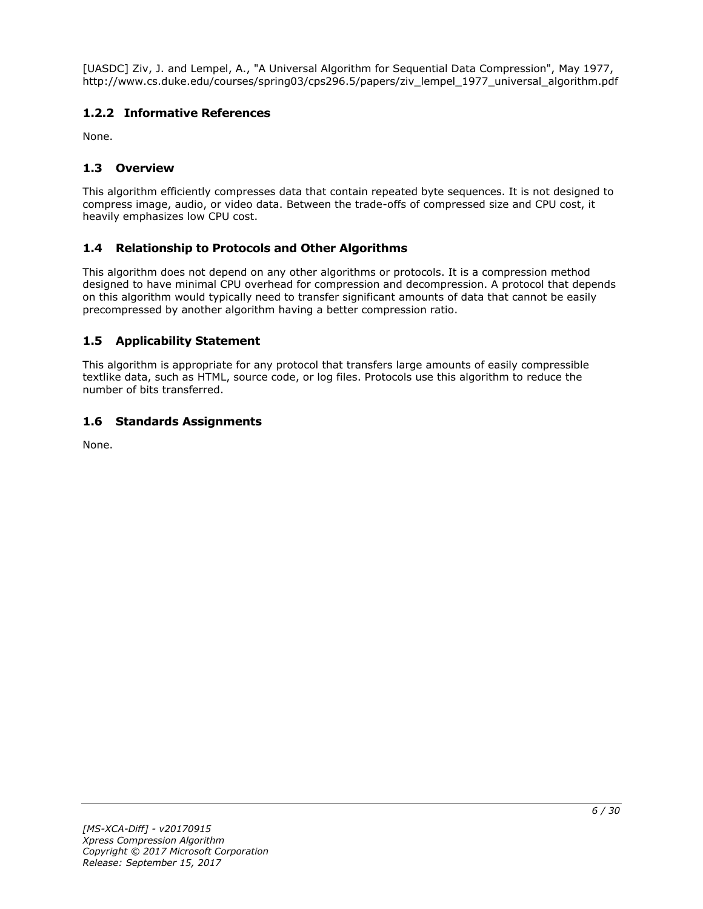[UASDC] Ziv, J. and Lempel, A., "A Universal Algorithm for Sequential Data Compression", May 1977, http://www.cs.duke.edu/courses/spring03/cps296.5/papers/ziv\_lempel\_1977\_universal\_algorithm.pdf

# <span id="page-5-0"></span>**1.2.2 Informative References**

None.

# <span id="page-5-1"></span>**1.3 Overview**

This algorithm efficiently compresses data that contain repeated byte sequences. It is not designed to compress image, audio, or video data. Between the trade-offs of compressed size and CPU cost, it heavily emphasizes low CPU cost.

# <span id="page-5-2"></span>**1.4 Relationship to Protocols and Other Algorithms**

This algorithm does not depend on any other algorithms or protocols. It is a compression method designed to have minimal CPU overhead for compression and decompression. A protocol that depends on this algorithm would typically need to transfer significant amounts of data that cannot be easily precompressed by another algorithm having a better compression ratio.

# <span id="page-5-3"></span>**1.5 Applicability Statement**

This algorithm is appropriate for any protocol that transfers large amounts of easily compressible textlike data, such as HTML, source code, or log files. Protocols use this algorithm to reduce the number of bits transferred.

# <span id="page-5-4"></span>**1.6 Standards Assignments**

None.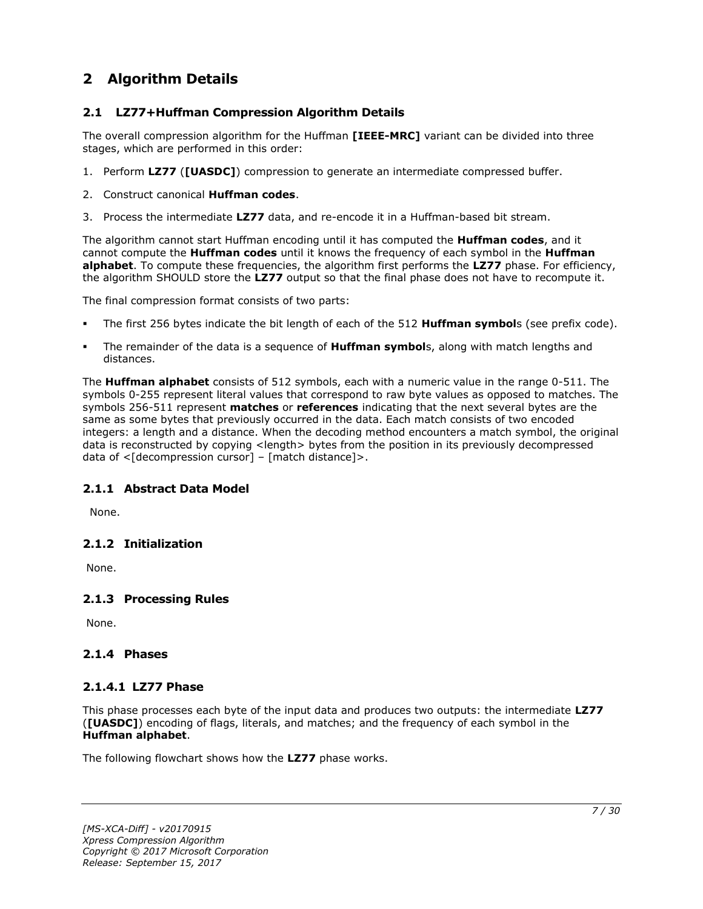# <span id="page-6-0"></span>**2 Algorithm Details**

# <span id="page-6-1"></span>**2.1 LZ77+Huffman Compression Algorithm Details**

The overall compression algorithm for the Huffman **[IEEE-MRC]** variant can be divided into three stages, which are performed in this order:

- 1. Perform **LZ77** (**[UASDC]**) compression to generate an intermediate compressed buffer.
- 2. Construct canonical **Huffman codes**.
- 3. Process the intermediate **LZ77** data, and re-encode it in a Huffman-based bit stream.

The algorithm cannot start Huffman encoding until it has computed the **Huffman codes**, and it cannot compute the **Huffman codes** until it knows the frequency of each symbol in the **Huffman alphabet**. To compute these frequencies, the algorithm first performs the **LZ77** phase. For efficiency, the algorithm SHOULD store the **LZ77** output so that the final phase does not have to recompute it.

The final compression format consists of two parts:

- The first 256 bytes indicate the bit length of each of the 512 **Huffman symbol**s (see prefix code).
- The remainder of the data is a sequence of **Huffman symbol**s, along with match lengths and distances.

The **Huffman alphabet** consists of 512 symbols, each with a numeric value in the range 0-511. The symbols 0-255 represent literal values that correspond to raw byte values as opposed to matches. The symbols 256-511 represent **matches** or **references** indicating that the next several bytes are the same as some bytes that previously occurred in the data. Each match consists of two encoded integers: a length and a distance. When the decoding method encounters a match symbol, the original data is reconstructed by copying <length> bytes from the position in its previously decompressed data of  $\leq$ [decompression cursor] – [match distance]>.

# <span id="page-6-2"></span>**2.1.1 Abstract Data Model**

None.

### <span id="page-6-3"></span>**2.1.2 Initialization**

None.

# <span id="page-6-4"></span>**2.1.3 Processing Rules**

None.

# <span id="page-6-5"></span>**2.1.4 Phases**

# <span id="page-6-6"></span>**2.1.4.1 LZ77 Phase**

This phase processes each byte of the input data and produces two outputs: the intermediate **LZ77** (**[UASDC]**) encoding of flags, literals, and matches; and the frequency of each symbol in the **Huffman alphabet**.

The following flowchart shows how the **LZ77** phase works.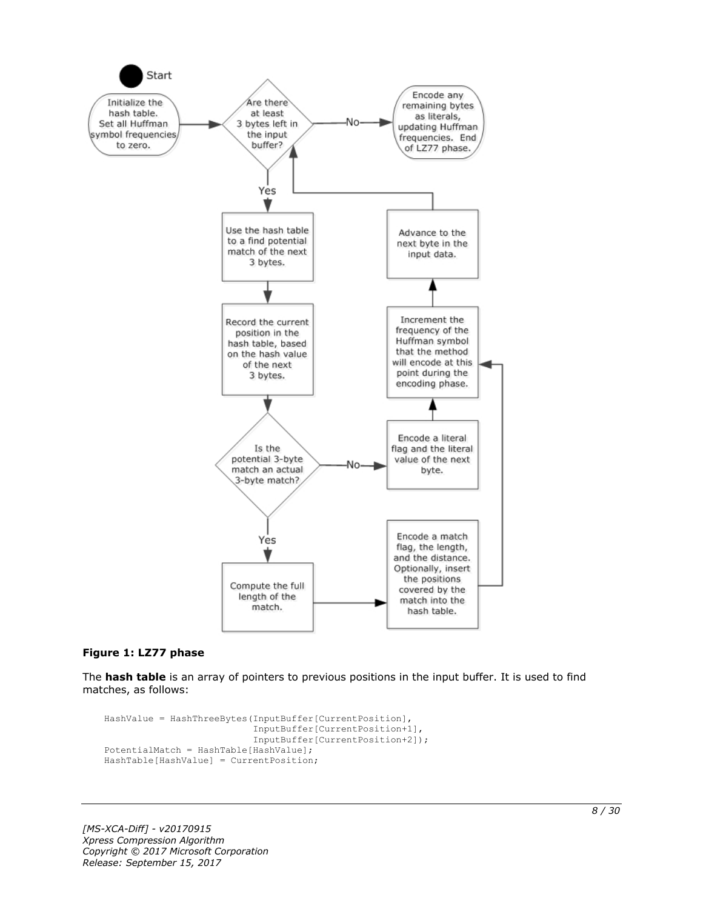

#### **Figure 1: LZ77 phase**

The **hash table** is an array of pointers to previous positions in the input buffer. It is used to find matches, as follows:

```
HashValue = HashThreeBytes(InputBuffer[CurrentPosition],
                            InputBuffer[CurrentPosition+1],
                           InputBuffer[CurrentPosition+2]);
PotentialMatch = HashTable[HashValue];
HashTable[HashValue] = CurrentPosition;
```
*[MS-XCA-Diff] - v20170915 Xpress Compression Algorithm Copyright © 2017 Microsoft Corporation Release: September 15, 2017*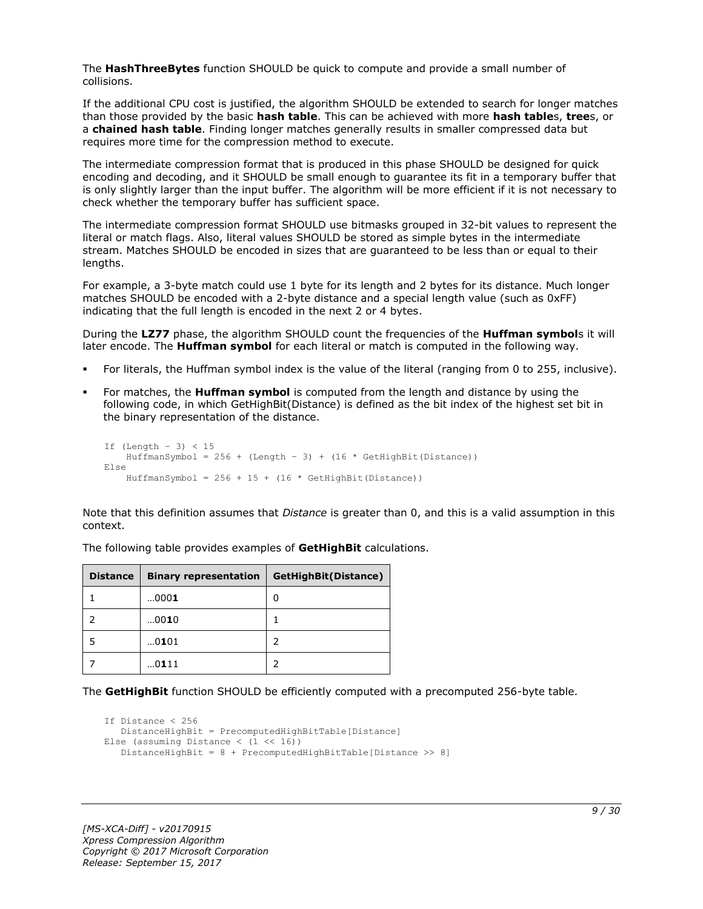The **HashThreeBytes** function SHOULD be quick to compute and provide a small number of collisions.

If the additional CPU cost is justified, the algorithm SHOULD be extended to search for longer matches than those provided by the basic **hash table**. This can be achieved with more **hash table**s, **tree**s, or a **chained hash table**. Finding longer matches generally results in smaller compressed data but requires more time for the compression method to execute.

The intermediate compression format that is produced in this phase SHOULD be designed for quick encoding and decoding, and it SHOULD be small enough to guarantee its fit in a temporary buffer that is only slightly larger than the input buffer. The algorithm will be more efficient if it is not necessary to check whether the temporary buffer has sufficient space.

The intermediate compression format SHOULD use bitmasks grouped in 32-bit values to represent the literal or match flags. Also, literal values SHOULD be stored as simple bytes in the intermediate stream. Matches SHOULD be encoded in sizes that are guaranteed to be less than or equal to their lengths.

For example, a 3-byte match could use 1 byte for its length and 2 bytes for its distance. Much longer matches SHOULD be encoded with a 2-byte distance and a special length value (such as 0xFF) indicating that the full length is encoded in the next 2 or 4 bytes.

During the **LZ77** phase, the algorithm SHOULD count the frequencies of the **Huffman symbol**s it will later encode. The **Huffman symbol** for each literal or match is computed in the following way.

- For literals, the Huffman symbol index is the value of the literal (ranging from 0 to 255, inclusive).
- For matches, the **Huffman symbol** is computed from the length and distance by using the following code, in which GetHighBit(Distance) is defined as the bit index of the highest set bit in the binary representation of the distance.

```
If (Lenqth - 3) < 15HuffmanSymbol = 256 + (Length - 3) + (16 * GetHighBit(Distance))Else
    HuffmanSymbol = 256 + 15 + (16 * \text{GetHighBit}(\text{Distance}))
```
Note that this definition assumes that *Distance* is greater than 0, and this is a valid assumption in this context.

| <b>Distance</b> | <b>Binary representation</b> | GetHighBit(Distance) |
|-----------------|------------------------------|----------------------|
|                 | 0001                         | 0                    |
|                 | 0010                         |                      |
|                 | 0101                         |                      |
|                 | 0111                         |                      |

The following table provides examples of **GetHighBit** calculations.

The **GetHighBit** function SHOULD be efficiently computed with a precomputed 256-byte table.

```
If Distance < 256
    DistanceHighBit = PrecomputedHighBitTable[Distance]
Else (assuming Distance \langle (1 \langle 16))
    DistanceHighBit = 8 + PrecomputedHighBitTable[Distance >> 8]
```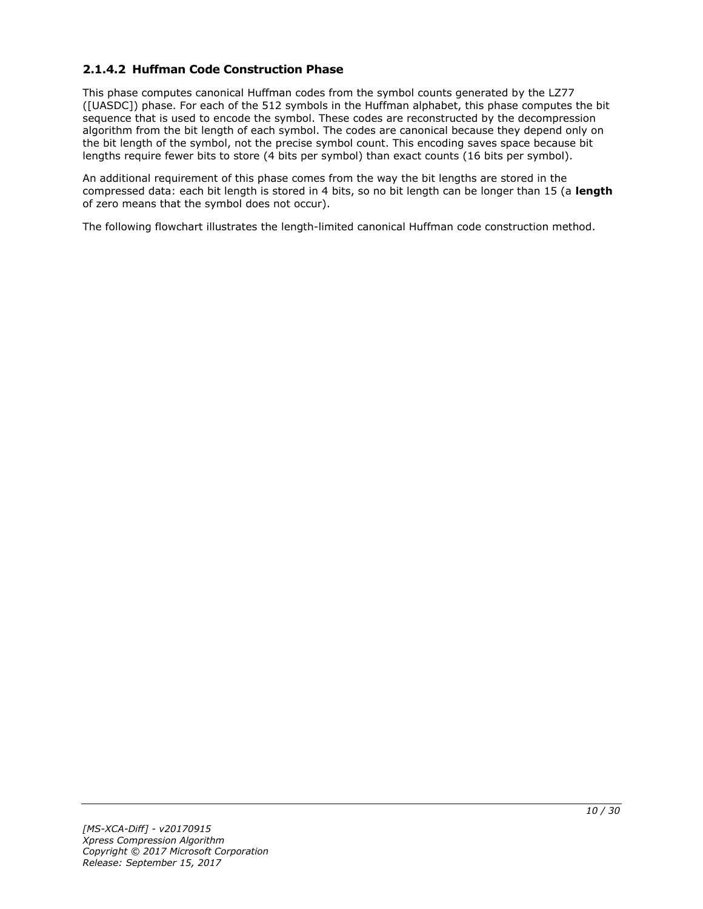# <span id="page-9-0"></span>**2.1.4.2 Huffman Code Construction Phase**

This phase computes canonical Huffman codes from the symbol counts generated by the LZ77 ([UASDC]) phase. For each of the 512 symbols in the Huffman alphabet, this phase computes the bit sequence that is used to encode the symbol. These codes are reconstructed by the decompression algorithm from the bit length of each symbol. The codes are canonical because they depend only on the bit length of the symbol, not the precise symbol count. This encoding saves space because bit lengths require fewer bits to store (4 bits per symbol) than exact counts (16 bits per symbol).

An additional requirement of this phase comes from the way the bit lengths are stored in the compressed data: each bit length is stored in 4 bits, so no bit length can be longer than 15 (a **length** of zero means that the symbol does not occur).

The following flowchart illustrates the length-limited canonical Huffman code construction method.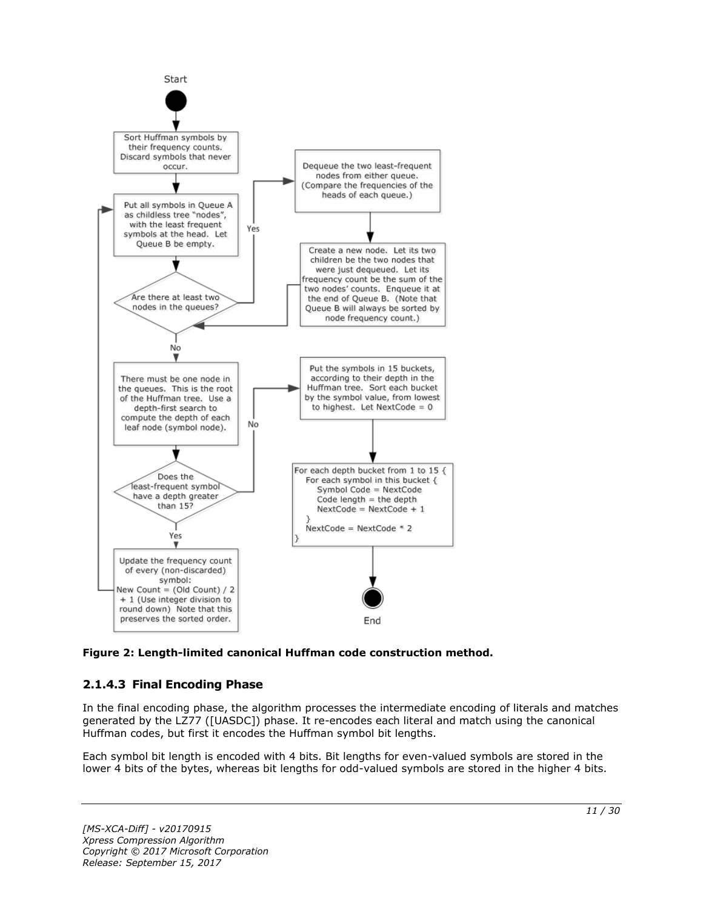

**Figure 2: Length-limited canonical Huffman code construction method.**

# <span id="page-10-0"></span>**2.1.4.3 Final Encoding Phase**

In the final encoding phase, the algorithm processes the intermediate encoding of literals and matches generated by the LZ77 ([UASDC]) phase. It re-encodes each literal and match using the canonical Huffman codes, but first it encodes the Huffman symbol bit lengths.

Each symbol bit length is encoded with 4 bits. Bit lengths for even-valued symbols are stored in the lower 4 bits of the bytes, whereas bit lengths for odd-valued symbols are stored in the higher 4 bits.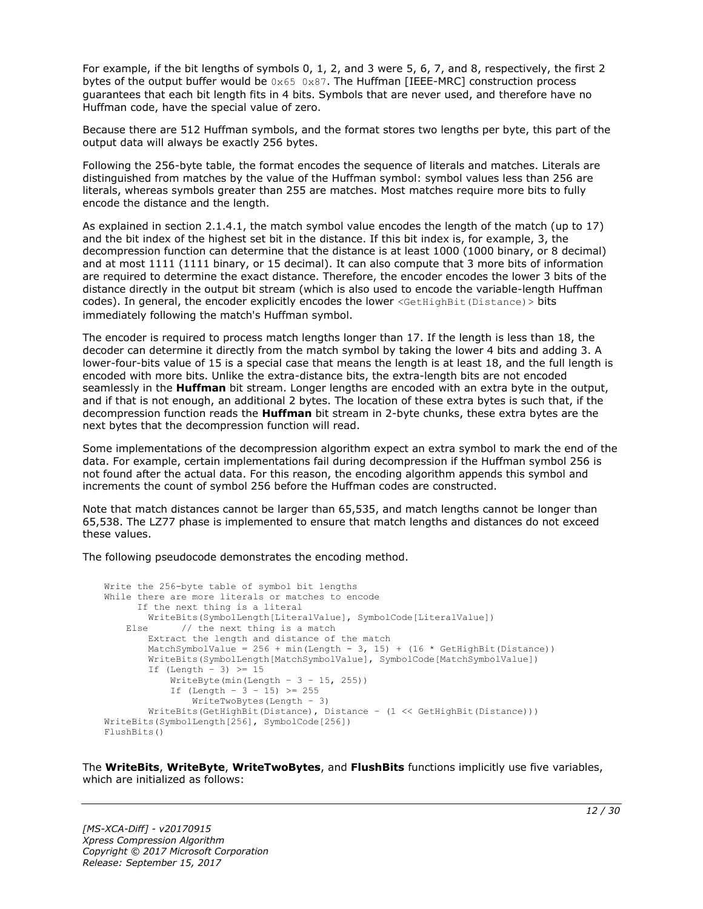For example, if the bit lengths of symbols 0, 1, 2, and 3 were 5, 6, 7, and 8, respectively, the first 2 bytes of the output buffer would be  $0 \times 65$  0x87. The Huffman [IEEE-MRC] construction process guarantees that each bit length fits in 4 bits. Symbols that are never used, and therefore have no Huffman code, have the special value of zero.

Because there are 512 Huffman symbols, and the format stores two lengths per byte, this part of the output data will always be exactly 256 bytes.

Following the 256-byte table, the format encodes the sequence of literals and matches. Literals are distinguished from matches by the value of the Huffman symbol: symbol values less than 256 are literals, whereas symbols greater than 255 are matches. Most matches require more bits to fully encode the distance and the length.

As explained in section 2.1.4.1, the match symbol value encodes the length of the match (up to 17) and the bit index of the highest set bit in the distance. If this bit index is, for example, 3, the decompression function can determine that the distance is at least 1000 (1000 binary, or 8 decimal) and at most 1111 (1111 binary, or 15 decimal). It can also compute that 3 more bits of information are required to determine the exact distance. Therefore, the encoder encodes the lower 3 bits of the distance directly in the output bit stream (which is also used to encode the variable-length Huffman codes). In general, the encoder explicitly encodes the lower <GetHighBit(Distance) > bits immediately following the match's Huffman symbol.

The encoder is required to process match lengths longer than 17. If the length is less than 18, the decoder can determine it directly from the match symbol by taking the lower 4 bits and adding 3. A lower-four-bits value of 15 is a special case that means the length is at least 18, and the full length is encoded with more bits. Unlike the extra-distance bits, the extra-length bits are not encoded seamlessly in the **Huffman** bit stream. Longer lengths are encoded with an extra byte in the output, and if that is not enough, an additional 2 bytes. The location of these extra bytes is such that, if the decompression function reads the **Huffman** bit stream in 2-byte chunks, these extra bytes are the next bytes that the decompression function will read.

Some implementations of the decompression algorithm expect an extra symbol to mark the end of the data. For example, certain implementations fail during decompression if the Huffman symbol 256 is not found after the actual data. For this reason, the encoding algorithm appends this symbol and increments the count of symbol 256 before the Huffman codes are constructed.

Note that match distances cannot be larger than 65,535, and match lengths cannot be longer than 65,538. The LZ77 phase is implemented to ensure that match lengths and distances do not exceed these values.

The following pseudocode demonstrates the encoding method.

```
Write the 256-byte table of symbol bit lengths
While there are more literals or matches to encode
       If the next thing is a literal
         WriteBits(SymbolLength[LiteralValue], SymbolCode[LiteralValue])
   Else // the next thing is a match
         Extract the length and distance of the match
        MatchSymbolValue = 256 + min(Length - 3, 15) + (16 * GetHighBit(Distance))
         WriteBits(SymbolLength[MatchSymbolValue], SymbolCode[MatchSymbolValue])
        If (Length - 3) \geq 15
            WriteByte(min(Length - 3 - 15, 255))
           If (Length - 3 - 15) >= 255
                WriteTwoBytes(Length – 3)
         WriteBits(GetHighBit(Distance), Distance – (1 << GetHighBit(Distance)))
WriteBits(SymbolLength[256], SymbolCode[256])
FlushBits()
```
The **WriteBits**, **WriteByte**, **WriteTwoBytes**, and **FlushBits** functions implicitly use five variables, which are initialized as follows: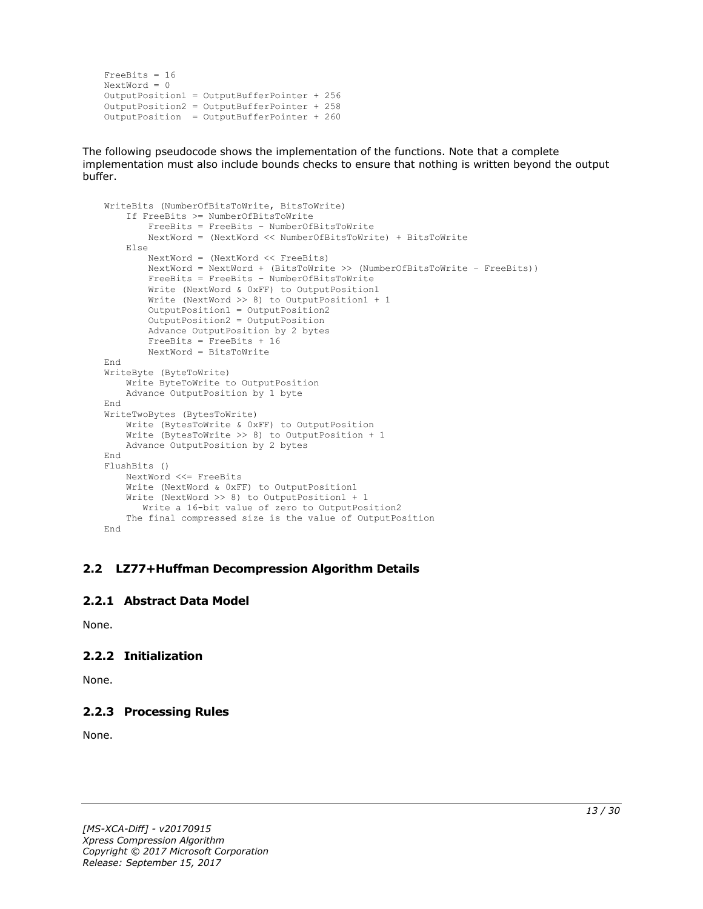```
FreeBits = 16
NextWord = 0OutputPosition1 = OutputBufferPointer + 256
OutputPosition2 = OutputBufferPointer + 258 
OutputPosition = OutputBufferPointer + 260
```
The following pseudocode shows the implementation of the functions. Note that a complete implementation must also include bounds checks to ensure that nothing is written beyond the output buffer.

```
WriteBits (NumberOfBitsToWrite, BitsToWrite)
     If FreeBits >= NumberOfBitsToWrite
         FreeBits = FreeBits – NumberOfBitsToWrite
         NextWord = (NextWord << NumberOfBitsToWrite) + BitsToWrite
     Else
         NextWord = (NextWord << FreeBits)
         NextWord = NextWord + (BitsToWrite >> (NumberOfBitsToWrite – FreeBits))
         FreeBits = FreeBits – NumberOfBitsToWrite
         Write (NextWord & 0xFF) to OutputPosition1
         Write (NextWord >> 8) to OutputPosition1 + 1
         OutputPosition1 = OutputPosition2
         OutputPosition2 = OutputPosition
         Advance OutputPosition by 2 bytes
         FreeBits = FreeBits + 16
         NextWord = BitsToWrite
End
WriteByte (ByteToWrite)
    Write ByteToWrite to OutputPosition
     Advance OutputPosition by 1 byte
End
WriteTwoBytes (BytesToWrite)
     Write (BytesToWrite & 0xFF) to OutputPosition
     Write (BytesToWrite >> 8) to OutputPosition + 1
    Advance OutputPosition by 2 bytes
End
FlushBits ()
     NextWord <<= FreeBits
     Write (NextWord & 0xFF) to OutputPosition1
     Write (NextWord >> 8) to OutputPosition1 + 1
       Write a 16-bit value of zero to OutputPosition2
     The final compressed size is the value of OutputPosition
End
```
### <span id="page-12-0"></span>**2.2 LZ77+Huffman Decompression Algorithm Details**

### <span id="page-12-1"></span>**2.2.1 Abstract Data Model**

None.

# <span id="page-12-2"></span>**2.2.2 Initialization**

None.

# <span id="page-12-3"></span>**2.2.3 Processing Rules**

None.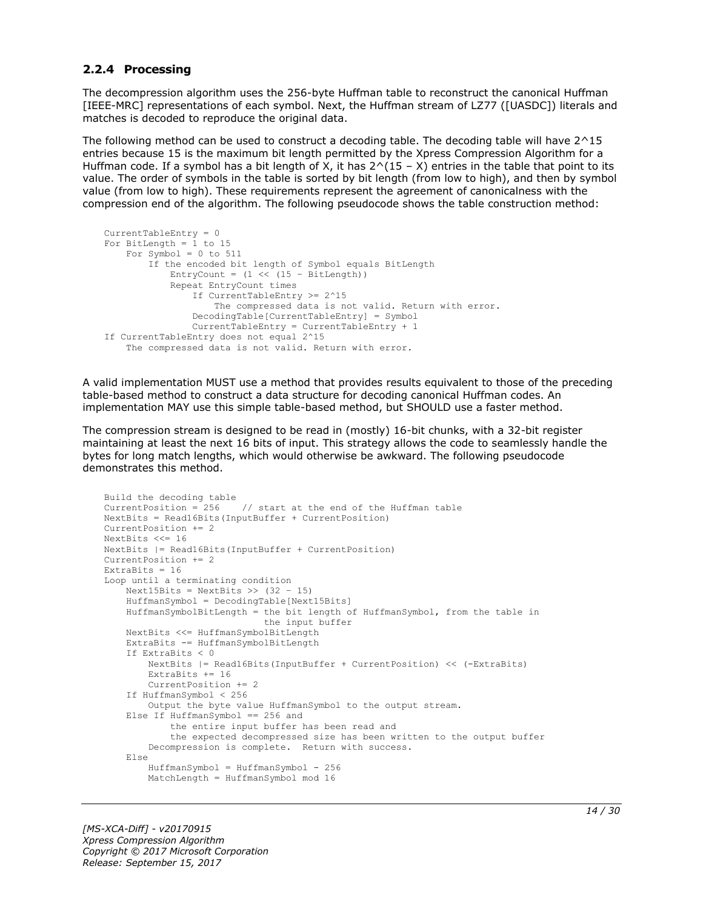#### <span id="page-13-0"></span>**2.2.4 Processing**

The decompression algorithm uses the 256-byte Huffman table to reconstruct the canonical Huffman [IEEE-MRC] representations of each symbol. Next, the Huffman stream of LZ77 ([UASDC]) literals and matches is decoded to reproduce the original data.

The following method can be used to construct a decoding table. The decoding table will have 2^15 entries because 15 is the maximum bit length permitted by the Xpress Compression Algorithm for a Huffman code. If a symbol has a bit length of X, it has  $2^(15 - X)$  entries in the table that point to its value. The order of symbols in the table is sorted by bit length (from low to high), and then by symbol value (from low to high). These requirements represent the agreement of canonicalness with the compression end of the algorithm. The following pseudocode shows the table construction method:

```
CurrentTableEntry = 0
For BitLength = 1 to 15
   For Symbol = 0 to 511
         If the encoded bit length of Symbol equals BitLength
            EntryCount = (1 \leq \leq 15 - \text{BitLength}) Repeat EntryCount times
                 If CurrentTableEntry >= 2^15
                     The compressed data is not valid. Return with error.
                 DecodingTable[CurrentTableEntry] = Symbol
                 CurrentTableEntry = CurrentTableEntry + 1
If CurrentTableEntry does not equal 2^15
     The compressed data is not valid. Return with error.
```
A valid implementation MUST use a method that provides results equivalent to those of the preceding table-based method to construct a data structure for decoding canonical Huffman codes. An implementation MAY use this simple table-based method, but SHOULD use a faster method.

The compression stream is designed to be read in (mostly) 16-bit chunks, with a 32-bit register maintaining at least the next 16 bits of input. This strategy allows the code to seamlessly handle the bytes for long match lengths, which would otherwise be awkward. The following pseudocode demonstrates this method.

```
Build the decoding table
CurrentPosition = 256 // start at the end of the Huffman table
NextBits = Read16Bits(InputBuffer + CurrentPosition)
CurrentPosition += 2
NextBits <<= 16
NextBits |= Read16Bits(InputBuffer + CurrentPosition)
CurrentPosition += 2
ExtraBits = 16
Loop until a terminating condition
    Next15Bits = NextBits \gg (32 - 15)
     HuffmanSymbol = DecodingTable[Next15Bits]
     HuffmanSymbolBitLength = the bit length of HuffmanSymbol, from the table in
                              the input buffer
     NextBits <<= HuffmanSymbolBitLength
     ExtraBits -= HuffmanSymbolBitLength
     If ExtraBits < 0
        NextBits |= Read16Bits(InputBuffer + CurrentPosition) << (-ExtraBits)
         ExtraBits += 16
         CurrentPosition += 2
     If HuffmanSymbol < 256
        Output the byte value HuffmanSymbol to the output stream.
     Else If HuffmanSymbol == 256 and
             the entire input buffer has been read and
             the expected decompressed size has been written to the output buffer
         Decompression is complete. Return with success.
     Else
        HuffmanSumbol = HuffmanSumbol - 256 MatchLength = HuffmanSymbol mod 16
```
*[MS-XCA-Diff] - v20170915 Xpress Compression Algorithm Copyright © 2017 Microsoft Corporation Release: September 15, 2017*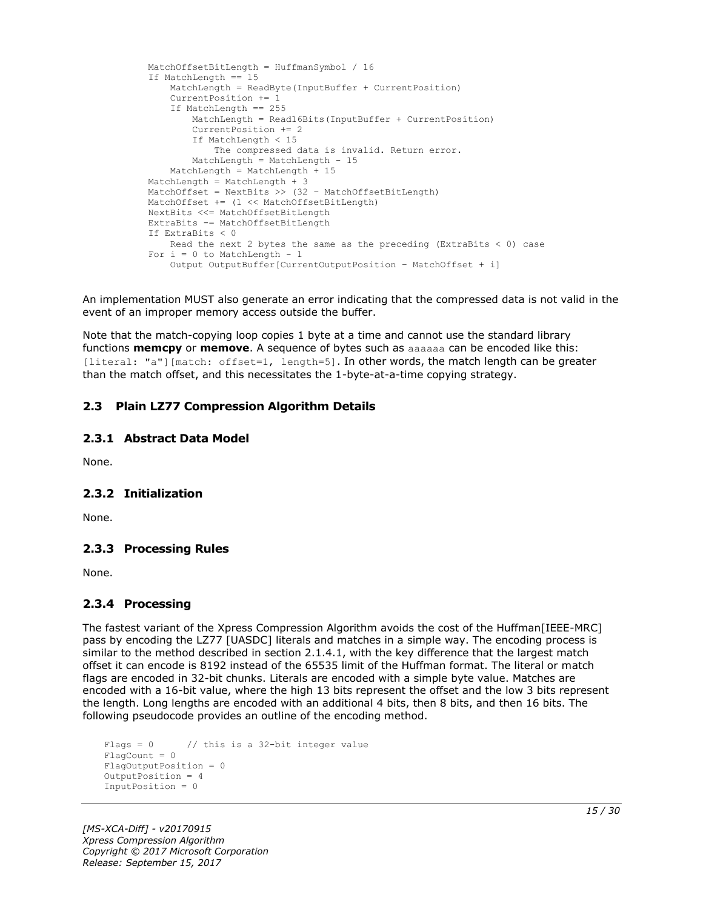```
 MatchOffsetBitLength = HuffmanSymbol / 16
If MatchLength == 15 MatchLength = ReadByte(InputBuffer + CurrentPosition)
     CurrentPosition += 1
     If MatchLength == 255
        MatchLength = Read16Bits(InputBuffer + CurrentPosition)
         CurrentPosition += 2
         If MatchLength < 15
             The compressed data is invalid. Return error.
         MatchLength = MatchLength - 15
     MatchLength = MatchLength + 15
 MatchLength = MatchLength + 3
MatchOffset = NextBits >> (32 - \text{MatchOffsetBitLength}) MatchOffset += (1 << MatchOffsetBitLength)
 NextBits <<= MatchOffsetBitLength
 ExtraBits -= MatchOffsetBitLength
 If ExtraBits < 0
    Read the next 2 bytes the same as the preceding (ExtraBits < 0) case
For i = 0 to MatchLength - 1
     Output OutputBuffer[CurrentOutputPosition – MatchOffset + i]
```
An implementation MUST also generate an error indicating that the compressed data is not valid in the event of an improper memory access outside the buffer.

Note that the match-copying loop copies 1 byte at a time and cannot use the standard library functions **memcpy** or **memove**. A sequence of bytes such as aaaaaa can be encoded like this: [literal: "a"][match: offset=1, length=5]. In other words, the match length can be greater than the match offset, and this necessitates the 1-byte-at-a-time copying strategy.

# <span id="page-14-0"></span>**2.3 Plain LZ77 Compression Algorithm Details**

### <span id="page-14-1"></span>**2.3.1 Abstract Data Model**

None.

### <span id="page-14-2"></span>**2.3.2 Initialization**

None.

### <span id="page-14-3"></span>**2.3.3 Processing Rules**

None.

### <span id="page-14-4"></span>**2.3.4 Processing**

The fastest variant of the Xpress Compression Algorithm avoids the cost of the Huffman[IEEE-MRC] pass by encoding the LZ77 [UASDC] literals and matches in a simple way. The encoding process is similar to the method described in section 2.1.4.1, with the key difference that the largest match offset it can encode is 8192 instead of the 65535 limit of the Huffman format. The literal or match flags are encoded in 32-bit chunks. Literals are encoded with a simple byte value. Matches are encoded with a 16-bit value, where the high 13 bits represent the offset and the low 3 bits represent the length. Long lengths are encoded with an additional 4 bits, then 8 bits, and then 16 bits. The following pseudocode provides an outline of the encoding method.

```
Flags = 0 // this is a 32-bit integer value
FlagCount = 0
FlagOutputPosition = 0
OutputPosition = 4
InputPosition = 0
```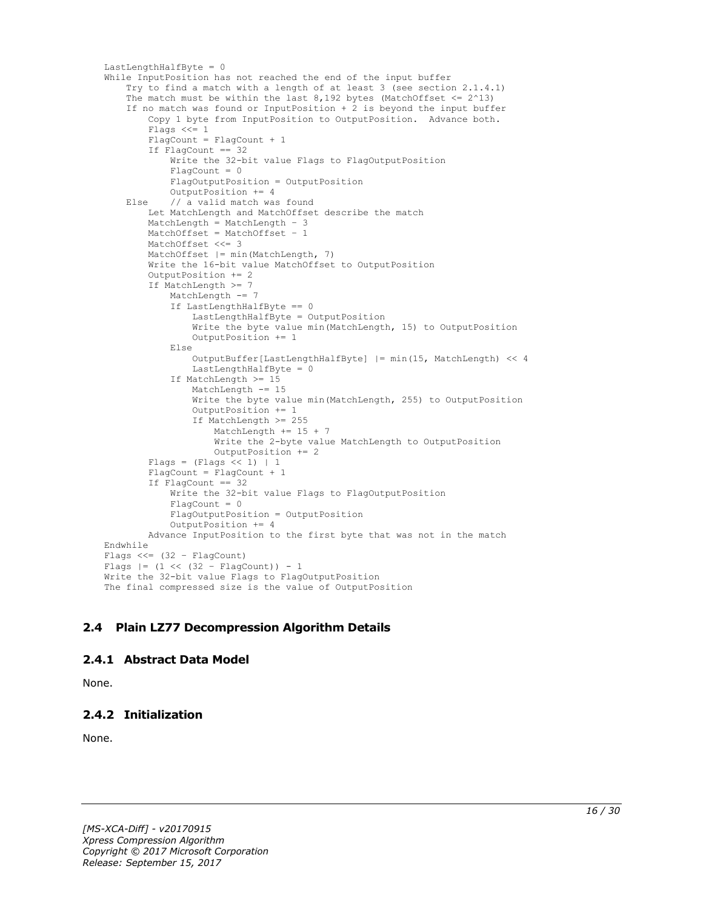```
LastLengthHalfByte = 0
While InputPosition has not reached the end of the input buffer
     Try to find a match with a length of at least 3 (see section 2.1.4.1)
    The match must be within the last 8,192 bytes (MatchOffset \leq 2^13)
     If no match was found or InputPosition + 2 is beyond the input buffer
         Copy 1 byte from InputPosition to OutputPosition. Advance both.
         Flags <<= 1
        FlagCount = FlagCount + 1 If FlagCount == 32
             Write the 32-bit value Flags to FlagOutputPosition
            Fla<sub>q</sub>Count = 0 FlagOutputPosition = OutputPosition
             OutputPosition += 4
     Else // a valid match was found
         Let MatchLength and MatchOffset describe the match
         MatchLength = MatchLength – 3
         MatchOffset = MatchOffset – 1
         MatchOffset <<= 3
        MatchOffset | = min(MatchLength, 7) Write the 16-bit value MatchOffset to OutputPosition
         OutputPosition += 2
         If MatchLength >= 7
             MatchLength -= 7
             If LastLengthHalfByte == 0
                 LastLengthHalfByte = OutputPosition
                Write the byte value min(MatchLength, 15) to OutputPosition
                 OutputPosition += 1
             Else
                 OutputBuffer[LastLengthHalfByte] |= min(15, MatchLength) << 4
                LastLengthHalfByte = 0
             If MatchLength >= 15
                 MatchLength -= 15
                 Write the byte value min(MatchLength, 255) to OutputPosition
                OutputPosition += 1
                 If MatchLength >= 255
                     MatchLength += 15 + 7
                    Write the 2-byte value MatchLength to OutputPosition
                     OutputPosition += 2
        Flags = (Flags \ll 1) | 1
        FlagCount = FlagCount + 1
         If FlagCount == 32
             Write the 32-bit value Flags to FlagOutputPosition
             FlagCount = 0
             FlagOutputPosition = OutputPosition
             OutputPosition += 4
         Advance InputPosition to the first byte that was not in the match
Endwhile
Flags <<= (32 – FlagCount)
Flags |= (1 \lt\lt (32 - \text{FlagCount})) - 1Write the 32-bit value Flags to FlagOutputPosition
The final compressed size is the value of OutputPosition
```
# <span id="page-15-0"></span>**2.4 Plain LZ77 Decompression Algorithm Details**

### <span id="page-15-1"></span>**2.4.1 Abstract Data Model**

None.

# <span id="page-15-2"></span>**2.4.2 Initialization**

None.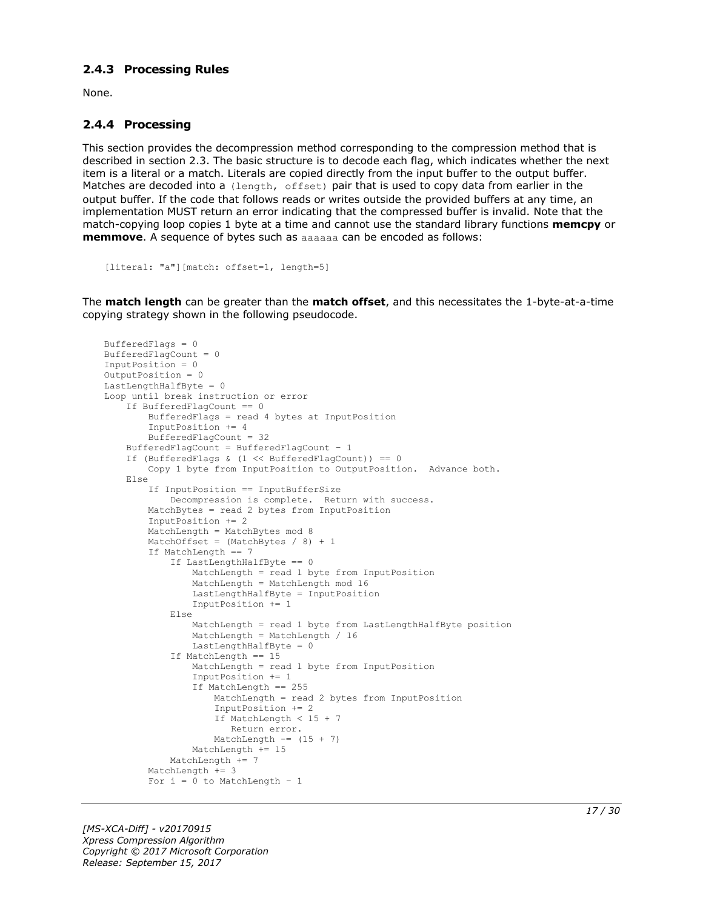### <span id="page-16-0"></span>**2.4.3 Processing Rules**

None.

#### <span id="page-16-1"></span>**2.4.4 Processing**

This section provides the decompression method corresponding to the compression method that is described in section 2.3. The basic structure is to decode each flag, which indicates whether the next item is a literal or a match. Literals are copied directly from the input buffer to the output buffer. Matches are decoded into a (length, offset) pair that is used to copy data from earlier in the output buffer. If the code that follows reads or writes outside the provided buffers at any time, an implementation MUST return an error indicating that the compressed buffer is invalid. Note that the match-copying loop copies 1 byte at a time and cannot use the standard library functions **memcpy** or **memmove**. A sequence of bytes such as aaaaaa can be encoded as follows:

```
[literal: "a"][match: offset=1, length=5]
```
The **match length** can be greater than the **match offset**, and this necessitates the 1-byte-at-a-time copying strategy shown in the following pseudocode.

```
BufferedFlags = 0
BufferedFlagCount = 0
InputPosition = 0
OutputPosition = 0
LastLengthHalfByte = 0Loop until break instruction or error
     If BufferedFlagCount == 0
         BufferedFlags = read 4 bytes at InputPosition
         InputPosition += 4
         BufferedFlagCount = 32
     BufferedFlagCount = BufferedFlagCount – 1
    If (BufferedFlags & (1 \leq \text{BufferedFlagCount})) == 0
         Copy 1 byte from InputPosition to OutputPosition. Advance both.
     Else
         If InputPosition == InputBufferSize
             Decompression is complete. Return with success.
         MatchBytes = read 2 bytes from InputPosition
         InputPosition += 2
        MatchLength = MatchBytes mod 8
        MatchOffset = (MatchBytes / 8) + 1 If MatchLength == 7
             If LastLengthHalfByte == 0
                 MatchLength = read 1 byte from InputPosition
                 MatchLength = MatchLength mod 16
                LastLengthHalfByte = InputPosition
                 InputPosition += 1
             Else
                 MatchLength = read 1 byte from LastLengthHalfByte position
                 MatchLength = MatchLength / 16
                LastLengthHalfByte = 0
             If MatchLength == 15
                 MatchLength = read 1 byte from InputPosition
                 InputPosition += 1
                If MatchLength == 255
                     MatchLength = read 2 bytes from InputPosition
                    InputPosition += 2
                     If MatchLength < 15 + 7
                       Return error.
                    MatchLength == (15 + 7)
                Mathenath += 15 MatchLength += 7
        MatchLength += 3
        For i = 0 to MatchLength - 1
```
*[MS-XCA-Diff] - v20170915 Xpress Compression Algorithm Copyright © 2017 Microsoft Corporation Release: September 15, 2017*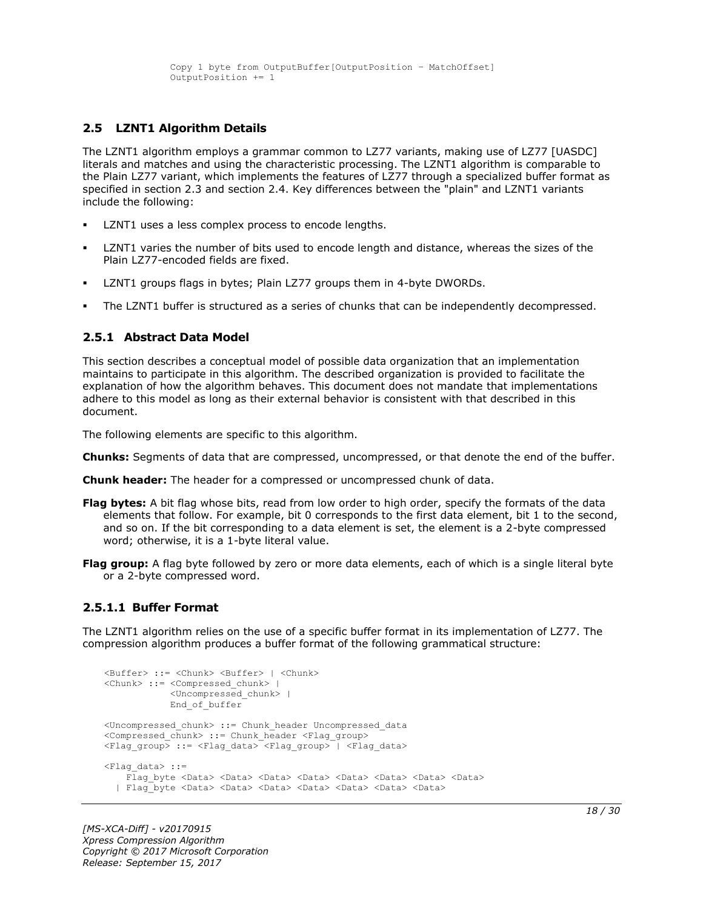### <span id="page-17-0"></span>**2.5 LZNT1 Algorithm Details**

The LZNT1 algorithm employs a grammar common to LZ77 variants, making use of LZ77 [UASDC] literals and matches and using the characteristic processing. The LZNT1 algorithm is comparable to the Plain LZ77 variant, which implements the features of LZ77 through a specialized buffer format as specified in section 2.3 and section 2.4. Key differences between the "plain" and LZNT1 variants include the following:

- LZNT1 uses a less complex process to encode lengths.
- LZNT1 varies the number of bits used to encode length and distance, whereas the sizes of the Plain LZ77-encoded fields are fixed.
- LZNT1 groups flags in bytes; Plain LZ77 groups them in 4-byte DWORDs.
- The LZNT1 buffer is structured as a series of chunks that can be independently decompressed.

#### <span id="page-17-1"></span>**2.5.1 Abstract Data Model**

This section describes a conceptual model of possible data organization that an implementation maintains to participate in this algorithm. The described organization is provided to facilitate the explanation of how the algorithm behaves. This document does not mandate that implementations adhere to this model as long as their external behavior is consistent with that described in this document.

The following elements are specific to this algorithm.

**Chunks:** Segments of data that are compressed, uncompressed, or that denote the end of the buffer.

**Chunk header:** The header for a compressed or uncompressed chunk of data.

- **Flag bytes:** A bit flag whose bits, read from low order to high order, specify the formats of the data elements that follow. For example, bit 0 corresponds to the first data element, bit 1 to the second, and so on. If the bit corresponding to a data element is set, the element is a 2-byte compressed word; otherwise, it is a 1-byte literal value.
- **Flag group:** A flag byte followed by zero or more data elements, each of which is a single literal byte or a 2-byte compressed word.

#### <span id="page-17-2"></span>**2.5.1.1 Buffer Format**

The LZNT1 algorithm relies on the use of a specific buffer format in its implementation of LZ77. The compression algorithm produces a buffer format of the following grammatical structure:

```
<Buffer> ::= <Chunk> <Buffer> | <Chunk>
<Chunk> ::= <Compressed_chunk> | 
             <Uncompressed_chunk> |
            End of buffer
<Uncompressed_chunk> ::= Chunk_header Uncompressed_data
<Compressed_chunk> ::= Chunk_header <Flag_group>
<Flag_group> ::= <Flag_data> <Flag_group> | <Flag_data>
<Flag data> ::=
    Flag byte <Data> <Data> <Data> <Data> <Data> <Data> <Data> <Data> <Data> <Data> <Data> <Data> <Data
   | Flag_byte <Data> <Data> <Data> <Data> <Data> <Data> <Data>
```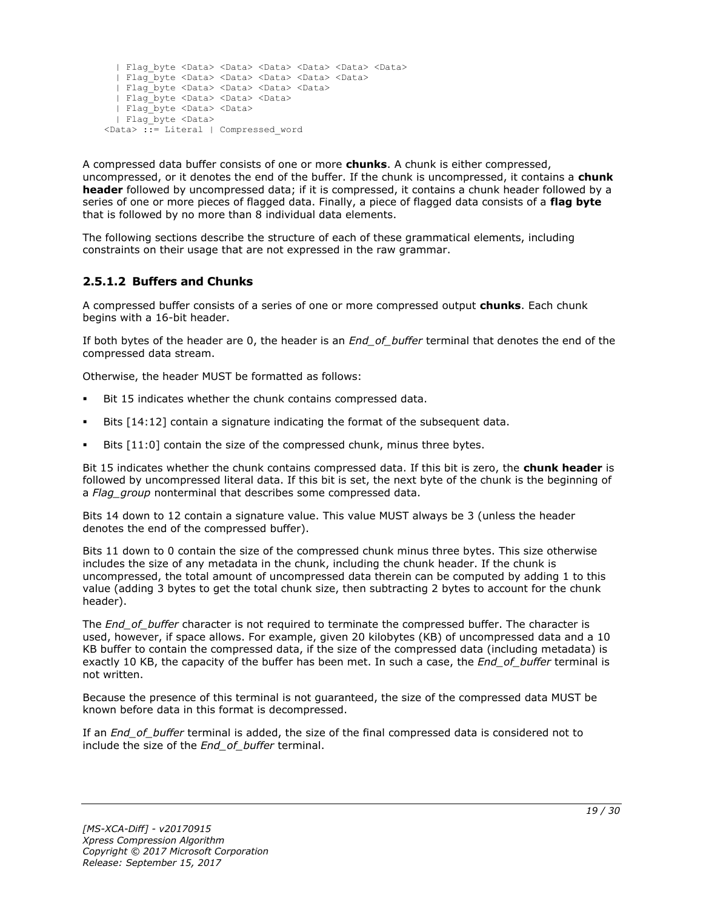```
 | Flag_byte <Data> <Data> <Data> <Data> <Data> <Data>
  | Flag_byte <Data> <Data> <Data> <Data> <Data>
  | Flag_byte <Data> <Data> <Data> <Data>
  | Flag_byte <Data> <Data> <Data> 
  | Flag_byte <Data> <Data>
  | Flag_byte <Data> 
<Data> ::= Literal | Compressed_word
```
A compressed data buffer consists of one or more **chunks**. A chunk is either compressed, uncompressed, or it denotes the end of the buffer. If the chunk is uncompressed, it contains a **chunk header** followed by uncompressed data; if it is compressed, it contains a chunk header followed by a series of one or more pieces of flagged data. Finally, a piece of flagged data consists of a **flag byte** that is followed by no more than 8 individual data elements.

The following sections describe the structure of each of these grammatical elements, including constraints on their usage that are not expressed in the raw grammar.

# <span id="page-18-0"></span>**2.5.1.2 Buffers and Chunks**

A compressed buffer consists of a series of one or more compressed output **chunks**. Each chunk begins with a 16-bit header.

If both bytes of the header are 0, the header is an *End\_of\_buffer* terminal that denotes the end of the compressed data stream.

Otherwise, the header MUST be formatted as follows:

- Bit 15 indicates whether the chunk contains compressed data.
- Bits [14:12] contain a signature indicating the format of the subsequent data.
- Bits [11:0] contain the size of the compressed chunk, minus three bytes.

Bit 15 indicates whether the chunk contains compressed data. If this bit is zero, the **chunk header** is followed by uncompressed literal data. If this bit is set, the next byte of the chunk is the beginning of a *Flag\_group* nonterminal that describes some compressed data.

Bits 14 down to 12 contain a signature value. This value MUST always be 3 (unless the header denotes the end of the compressed buffer).

Bits 11 down to 0 contain the size of the compressed chunk minus three bytes. This size otherwise includes the size of any metadata in the chunk, including the chunk header. If the chunk is uncompressed, the total amount of uncompressed data therein can be computed by adding 1 to this value (adding 3 bytes to get the total chunk size, then subtracting 2 bytes to account for the chunk header).

The *End\_of\_buffer* character is not required to terminate the compressed buffer. The character is used, however, if space allows. For example, given 20 kilobytes (KB) of uncompressed data and a 10 KB buffer to contain the compressed data, if the size of the compressed data (including metadata) is exactly 10 KB, the capacity of the buffer has been met. In such a case, the *End\_of\_buffer* terminal is not written.

Because the presence of this terminal is not guaranteed, the size of the compressed data MUST be known before data in this format is decompressed.

If an *End\_of\_buffer* terminal is added, the size of the final compressed data is considered not to include the size of the *End\_of\_buffer* terminal.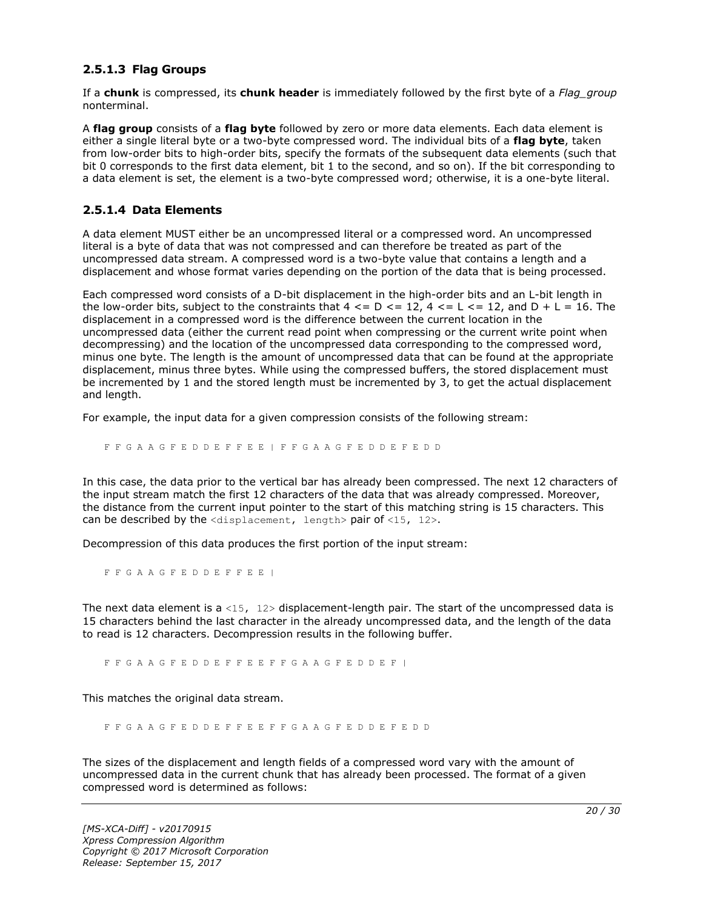### <span id="page-19-0"></span>**2.5.1.3 Flag Groups**

If a **chunk** is compressed, its **chunk header** is immediately followed by the first byte of a *Flag\_group* nonterminal.

A **flag group** consists of a **flag byte** followed by zero or more data elements. Each data element is either a single literal byte or a two-byte compressed word. The individual bits of a **flag byte**, taken from low-order bits to high-order bits, specify the formats of the subsequent data elements (such that bit 0 corresponds to the first data element, bit 1 to the second, and so on). If the bit corresponding to a data element is set, the element is a two-byte compressed word; otherwise, it is a one-byte literal.

#### <span id="page-19-1"></span>**2.5.1.4 Data Elements**

A data element MUST either be an uncompressed literal or a compressed word. An uncompressed literal is a byte of data that was not compressed and can therefore be treated as part of the uncompressed data stream. A compressed word is a two-byte value that contains a length and a displacement and whose format varies depending on the portion of the data that is being processed.

Each compressed word consists of a D-bit displacement in the high-order bits and an L-bit length in the low-order bits, subject to the constraints that  $4 \leq D \leq 12$ ,  $4 \leq L \leq 12$ , and  $D + L = 16$ . The displacement in a compressed word is the difference between the current location in the uncompressed data (either the current read point when compressing or the current write point when decompressing) and the location of the uncompressed data corresponding to the compressed word, minus one byte. The length is the amount of uncompressed data that can be found at the appropriate displacement, minus three bytes. While using the compressed buffers, the stored displacement must be incremented by 1 and the stored length must be incremented by 3, to get the actual displacement and length.

For example, the input data for a given compression consists of the following stream:

F F G A A G F E D D E F F E E | F F G A A G F E D D E F E D D

In this case, the data prior to the vertical bar has already been compressed. The next 12 characters of the input stream match the first 12 characters of the data that was already compressed. Moreover, the distance from the current input pointer to the start of this matching string is 15 characters. This can be described by the  $\langle$ displacement, length> pair of  $\langle$ 15, 12>.

Decompression of this data produces the first portion of the input stream:

F F G A A G F E D D E F F E E |

The next data element is a <15,  $12$  bisplacement-length pair. The start of the uncompressed data is 15 characters behind the last character in the already uncompressed data, and the length of the data to read is 12 characters. Decompression results in the following buffer.

F F G A A G F E D D E F F E E F F G A A G F E D D E F |

This matches the original data stream.

F F G A A G F E D D E F F E E F F G A A G F E D D E F E D D

The sizes of the displacement and length fields of a compressed word vary with the amount of uncompressed data in the current chunk that has already been processed. The format of a given compressed word is determined as follows: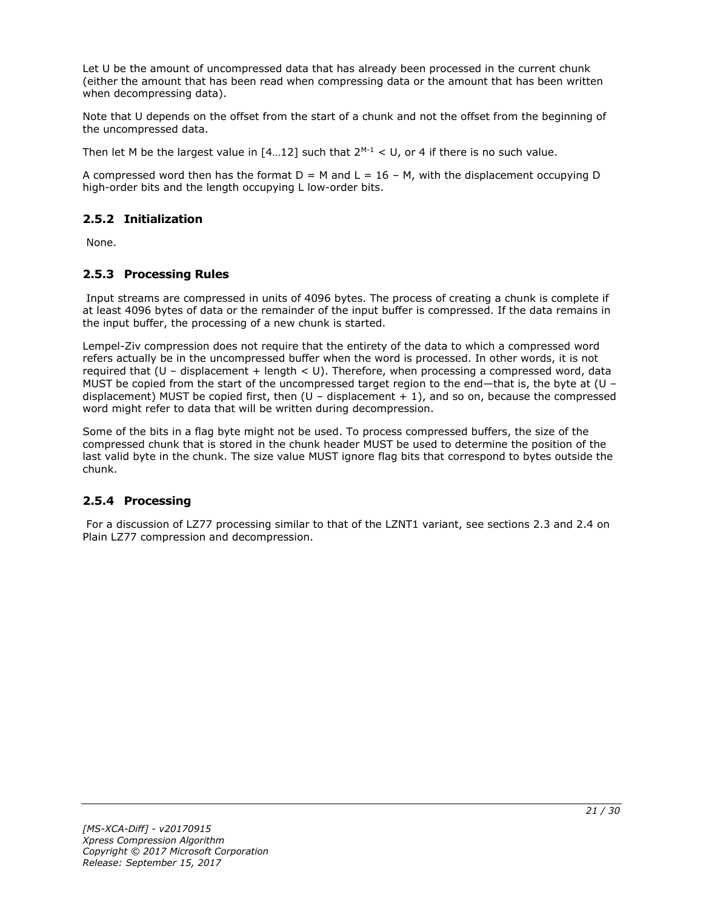Let U be the amount of uncompressed data that has already been processed in the current chunk (either the amount that has been read when compressing data or the amount that has been written when decompressing data).

Note that U depends on the offset from the start of a chunk and not the offset from the beginning of the uncompressed data.

Then let M be the largest value in  $[4...12]$  such that  $2^{M-1} < U$ , or 4 if there is no such value.

A compressed word then has the format  $D = M$  and  $L = 16 - M$ , with the displacement occupying D high-order bits and the length occupying L low-order bits.

# <span id="page-20-0"></span>**2.5.2 Initialization**

None.

# <span id="page-20-1"></span>**2.5.3 Processing Rules**

Input streams are compressed in units of 4096 bytes. The process of creating a chunk is complete if at least 4096 bytes of data or the remainder of the input buffer is compressed. If the data remains in the input buffer, the processing of a new chunk is started.

Lempel-Ziv compression does not require that the entirety of the data to which a compressed word refers actually be in the uncompressed buffer when the word is processed. In other words, it is not required that  $(U -$  displacement + length < U). Therefore, when processing a compressed word, data MUST be copied from the start of the uncompressed target region to the end—that is, the byte at (U – displacement) MUST be copied first, then  $(U -$  displacement  $+ 1)$ , and so on, because the compressed word might refer to data that will be written during decompression.

Some of the bits in a flag byte might not be used. To process compressed buffers, the size of the compressed chunk that is stored in the chunk header MUST be used to determine the position of the last valid byte in the chunk. The size value MUST ignore flag bits that correspond to bytes outside the chunk.

# <span id="page-20-2"></span>**2.5.4 Processing**

For a discussion of LZ77 processing similar to that of the LZNT1 variant, see sections 2.3 and 2.4 on Plain LZ77 compression and decompression.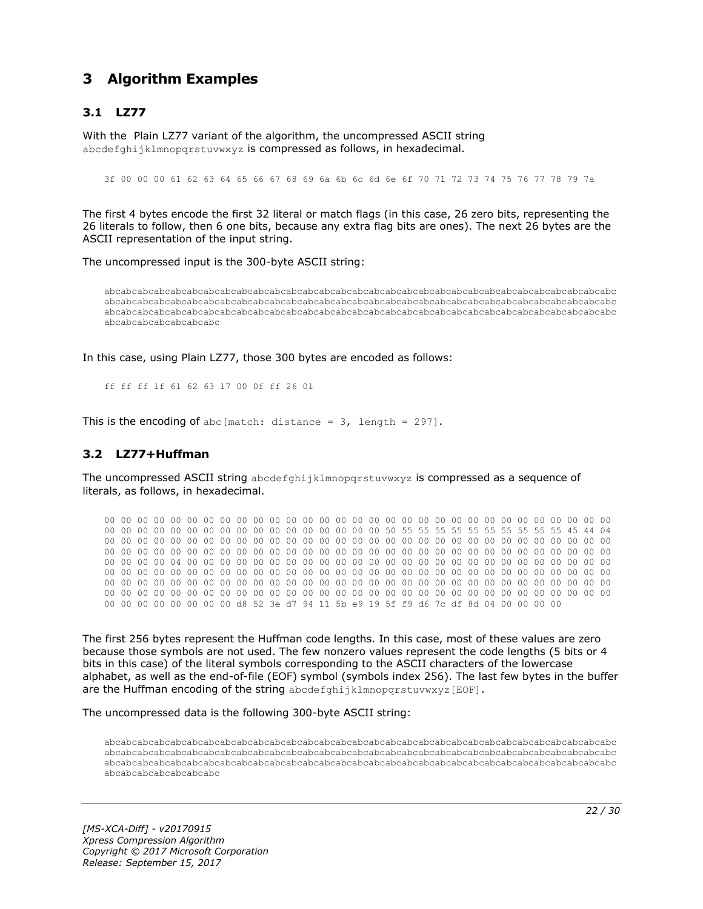# <span id="page-21-0"></span>**3 Algorithm Examples**

# <span id="page-21-1"></span>**3.1 LZ77**

With the Plain LZ77 variant of the algorithm, the uncompressed ASCII string abcdefghijklmnopgrstuvwxyz is compressed as follows, in hexadecimal.

3f 00 00 00 61 62 63 64 65 66 67 68 69 6a 6b 6c 6d 6e 6f 70 71 72 73 74 75 76 77 78 79 7a

The first 4 bytes encode the first 32 literal or match flags (in this case, 26 zero bits, representing the 26 literals to follow, then 6 one bits, because any extra flag bits are ones). The next 26 bytes are the ASCII representation of the input string.

The uncompressed input is the 300-byte ASCII string:

abcabcabcabcabcabcabcabcabcabcabcabcabcabcabcabcabcabcabcabcabcabcabcabcabcabcabcabcabcabcabc abcabcabcabcabcabcabcabcabcabcabcabcabcabcabcabcabcabcabcabcabcabcabcabcabcabcabcabcabcabcabc abcabcabcabcabcabcabcabcabcabcabcabcabcabcabcabcabcabcabcabcabcabcabcabcabcabcabcabcabcabcabc abcabcabcabcabcabcabc

In this case, using Plain LZ77, those 300 bytes are encoded as follows:

ff ff ff 1f 61 62 63 17 00 0f ff 26 01

This is the encoding of abc [match: distance =  $3$ , length = 297].

#### <span id="page-21-2"></span>**3.2 LZ77+Huffman**

The uncompressed ASCII string abcdefghijklmnopqrstuvwxyz is compressed as a sequence of literals, as follows, in hexadecimal.

00 00 00 00 00 00 00 00 00 00 00 00 00 00 00 00 00 00 00 00 00 00 00 00 00 00 00 00 00 00 00 00 00 00 00 00 00 00 00 00 00 00 00 00 00 00 00 00 50 55 55 55 55 55 55 55 55 55 55 45 44 04 00 00 00 00 00 00 00 00 00 00 00 00 00 00 00 00 00 00 00 00 00 00 00 00 00 00 00 00 00 00 00 00 00 00 00 00 00 00 00 00 00 00 00 00 00 00 00 00 00 00 00 00 00 00 00 00 00 00 00 00 00 00 00 00 00 00 04 00 00 00 00 00 00 00 00 00 00 00 00 00 00 00 00 00 00 00 00 00 00 00 00 00 00 00 00 00 00 00 00 00 00 00 00 00 00 00 00 00 00 00 00 00 00 00 00 00 00 00 00 00 00 00 00 00 00 00 00 00 00 00 00 00 00 00 00 00 00 00 00 00 00 00 00 00 00 00 00 00 00 00 00 00 00 00 00 00 00 00 00 00 00 00 00 00 00 00 00 00 00 00 00 00 00 00 00 00 00 00 00 00 00 00 00 00 00 00 00 00 00 00 00 00 00 00 d8 52 3e d7 94 11 5b e9 19 5f f9 d6 7c df 8d 04 00 00 00 00

The first 256 bytes represent the Huffman code lengths. In this case, most of these values are zero because those symbols are not used. The few nonzero values represent the code lengths (5 bits or 4 bits in this case) of the literal symbols corresponding to the ASCII characters of the lowercase alphabet, as well as the end-of-file (EOF) symbol (symbols index 256). The last few bytes in the buffer are the Huffman encoding of the string abcdefghijklmnopgrstuvwxyz[EOF].

The uncompressed data is the following 300-byte ASCII string:

abcabcabcabcabcabcabcabcabcabcabcabcabcabcabcabcabcabcabcabcabcabcabcabcabcabcabcabcabcabcabc abcabcabcabcabcabcabcabcabcabcabcabcabcabcabcabcabcabcabcabcabcabcabcabcabcabcabcabcabcabcabc abcabcabcabcabcabcabcabcabcabcabcabcabcabcabcabcabcabcabcabcabcabcabcabcabcabcabcabcabcabcabc abcabcabcabcabcabcabc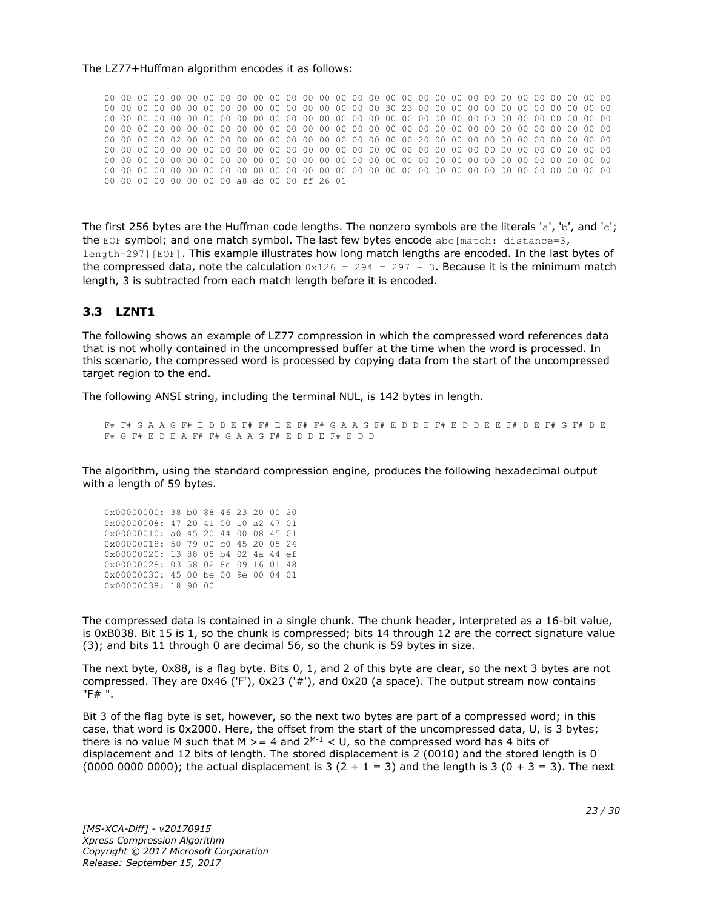#### The LZ77+Huffman algorithm encodes it as follows:

00 00 00 00 00 00 00 00 00 00 00 00 00 00 00 00 00 00 00 00 00 00 00 00 00 00 00 00 00 00 00 00 00 00 00 00 00 00 00 00 00 00 00 00 00 00 00 00 30 23 00 00 00 00 00 00 00 00 00 00 00 00 00 00 00 00 00 00 00 00 00 00 00 00 00 00 00 00 00 00 00 00 00 00 00 00 00 00 00 00 00 00 00 00 00 00 00 00 00 00 00 00 00 00 00 00 00 00 00 00 00 00 00 00 00 00 00 00 00 00 00 00 00 00 00 00 00 00 02 00 00 00 00 00 00 00 00 00 00 00 00 00 00 20 00 00 00 00 00 00 00 00 00 00 00 00 00 00 00 00 00 00 00 00 00 00 00 00 00 00 00 00 00 00 00 00 00 00 00 00 00 00 00 00 00 00 00 00 00 00 00 00 00 00 00 00 00 00 00 00 00 00 00 00 00 00 00 00 00 00 00 00 00 00 00 00 00 00 00 00 00 00 00 00 00 00 00 00 00 00 00 00 00 00 00 00 00 00 00 00 00 00 00 00 00 00 00 00 00 00 00 00 00 00 00 00 a8 dc 00 00 ff 26 01

The first 256 bytes are the Huffman code lengths. The nonzero symbols are the literals 'a', 'b', and 'c'; the EOF symbol; and one match symbol. The last few bytes encode abc[match: distance=3, length=297][EOF]. This example illustrates how long match lengths are encoded. In the last bytes of the compressed data, note the calculation  $0x126 = 294 = 297 - 3$ . Because it is the minimum match length, 3 is subtracted from each match length before it is encoded.

### <span id="page-22-0"></span>**3.3 LZNT1**

The following shows an example of LZ77 compression in which the compressed word references data that is not wholly contained in the uncompressed buffer at the time when the word is processed. In this scenario, the compressed word is processed by copying data from the start of the uncompressed target region to the end.

The following ANSI string, including the terminal NUL, is 142 bytes in length.

F# F# G A A G F# E D D E F# F# E E F# F# G A A G F# E D D E F# E D D E E F# D E F# G F# D E F# G F# E D E A F# F# G A A G F# E D D E F# E D D

The algorithm, using the standard compression engine, produces the following hexadecimal output with a length of 59 bytes.

| 0x00000000: 38 b0 88 46 23 20 00 20 |  |  |  |  |
|-------------------------------------|--|--|--|--|
| 0x00000008: 47 20 41 00 10 a2 47 01 |  |  |  |  |
| 0x00000010: a0 45 20 44 00 08 45 01 |  |  |  |  |
| 0x00000018: 50 79 00 c0 45 20 05 24 |  |  |  |  |
| 0x00000020: 13 88 05 b4 02 4a 44 ef |  |  |  |  |
| 0x00000028: 03 58 02 8c 09 16 01 48 |  |  |  |  |
| 0x00000030: 45 00 be 00 9e 00 04 01 |  |  |  |  |
| 0x00000038: 18 90 00                |  |  |  |  |

The compressed data is contained in a single chunk. The chunk header, interpreted as a 16-bit value, is 0xB038. Bit 15 is 1, so the chunk is compressed; bits 14 through 12 are the correct signature value (3); and bits 11 through 0 are decimal 56, so the chunk is 59 bytes in size.

The next byte, 0x88, is a flag byte. Bits 0, 1, and 2 of this byte are clear, so the next 3 bytes are not compressed. They are 0x46 ('F'), 0x23 ('#'), and 0x20 (a space). The output stream now contains "F# ".

Bit 3 of the flag byte is set, however, so the next two bytes are part of a compressed word; in this case, that word is 0x2000. Here, the offset from the start of the uncompressed data, U, is 3 bytes; there is no value M such that M  $>= 4$  and  $2^{M-1} < U$ , so the compressed word has 4 bits of displacement and 12 bits of length. The stored displacement is 2 (0010) and the stored length is 0 (0000 0000 0000); the actual displacement is 3 (2 + 1 = 3) and the length is 3 (0 + 3 = 3). The next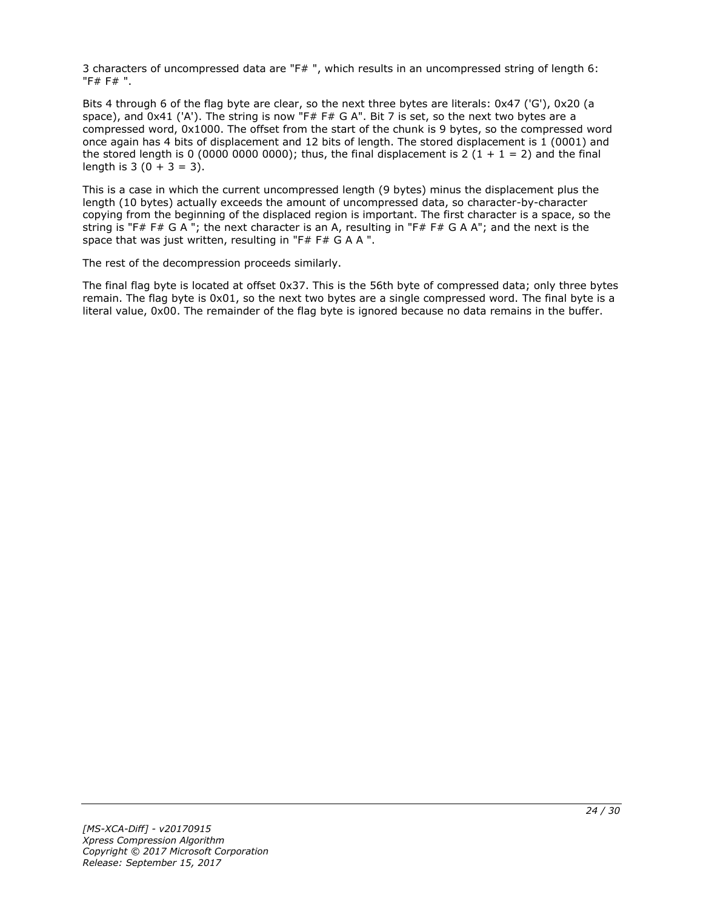3 characters of uncompressed data are "F# ", which results in an uncompressed string of length 6: "F# F# ".

Bits 4 through 6 of the flag byte are clear, so the next three bytes are literals: 0x47 ('G'), 0x20 (a space), and 0x41 ('A'). The string is now "F# F# G A". Bit 7 is set, so the next two bytes are a compressed word, 0x1000. The offset from the start of the chunk is 9 bytes, so the compressed word once again has 4 bits of displacement and 12 bits of length. The stored displacement is 1 (0001) and the stored length is 0 (0000 0000 0000); thus, the final displacement is 2 (1 + 1 = 2) and the final length is  $3(0 + 3 = 3)$ .

This is a case in which the current uncompressed length (9 bytes) minus the displacement plus the length (10 bytes) actually exceeds the amount of uncompressed data, so character-by-character copying from the beginning of the displaced region is important. The first character is a space, so the string is "F# F# G A "; the next character is an A, resulting in "F# F# G A A"; and the next is the space that was just written, resulting in "F# F# G A A ".

The rest of the decompression proceeds similarly.

The final flag byte is located at offset 0x37. This is the 56th byte of compressed data; only three bytes remain. The flag byte is 0x01, so the next two bytes are a single compressed word. The final byte is a literal value, 0x00. The remainder of the flag byte is ignored because no data remains in the buffer.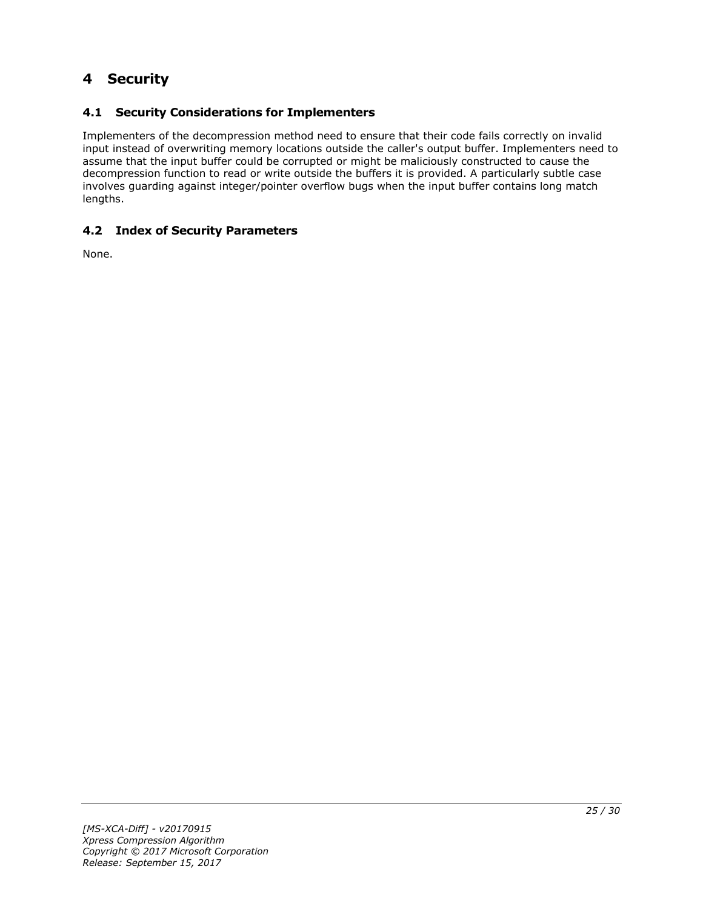# <span id="page-24-0"></span>**4 Security**

# <span id="page-24-1"></span>**4.1 Security Considerations for Implementers**

Implementers of the decompression method need to ensure that their code fails correctly on invalid input instead of overwriting memory locations outside the caller's output buffer. Implementers need to assume that the input buffer could be corrupted or might be maliciously constructed to cause the decompression function to read or write outside the buffers it is provided. A particularly subtle case involves guarding against integer/pointer overflow bugs when the input buffer contains long match lengths.

# <span id="page-24-2"></span>**4.2 Index of Security Parameters**

None.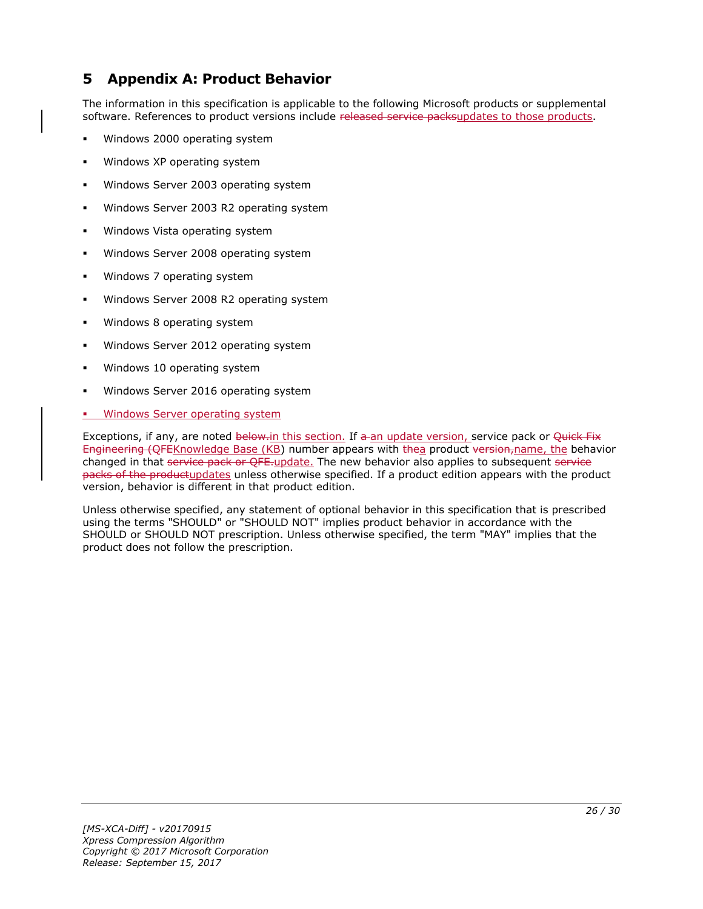# <span id="page-25-0"></span>**5 Appendix A: Product Behavior**

The information in this specification is applicable to the following Microsoft products or supplemental software. References to product versions include released service packsupdates to those products.

- Windows 2000 operating system
- Windows XP operating system
- Windows Server 2003 operating system
- Windows Server 2003 R2 operating system
- Windows Vista operating system
- Windows Server 2008 operating system
- Windows 7 operating system
- Windows Server 2008 R2 operating system
- Windows 8 operating system
- Windows Server 2012 operating system
- Windows 10 operating system
- Windows Server 2016 operating system
- Windows Server operating system

Exceptions, if any, are noted below-in this section. If a an update version, service pack or Quick Fix Engineering (QFEKnowledge Base (KB) number appears with thea product version, name, the behavior changed in that service pack or QFE-update. The new behavior also applies to subsequent service packs of the productupdates unless otherwise specified. If a product edition appears with the product version, behavior is different in that product edition.

Unless otherwise specified, any statement of optional behavior in this specification that is prescribed using the terms "SHOULD" or "SHOULD NOT" implies product behavior in accordance with the SHOULD or SHOULD NOT prescription. Unless otherwise specified, the term "MAY" implies that the product does not follow the prescription.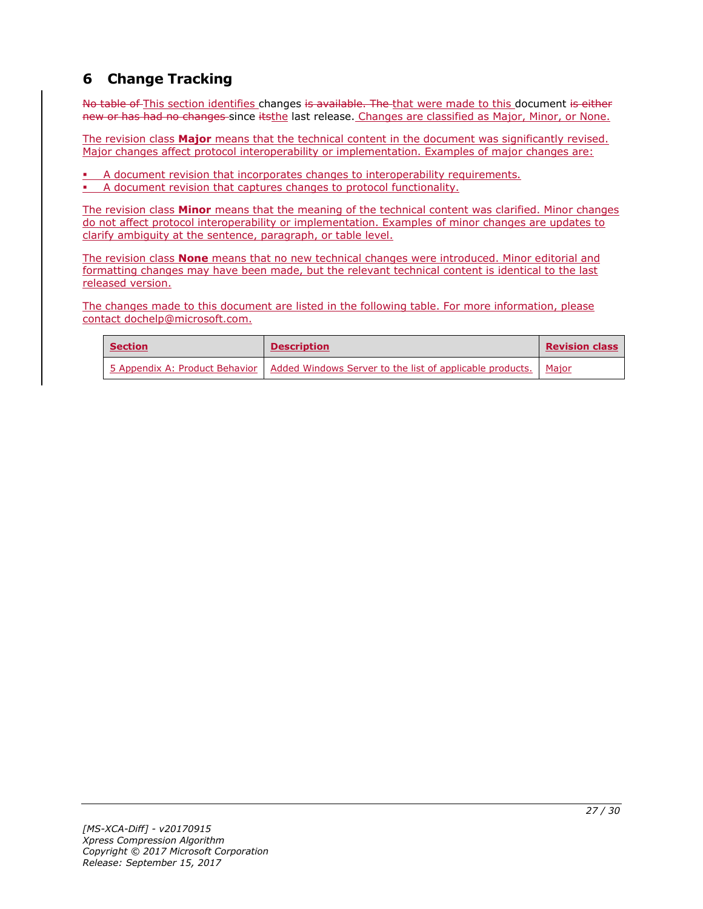# <span id="page-26-0"></span>**6 Change Tracking**

No table of This section identifies changes is available. The that were made to this document is either new or has had no changes since itsthe last release. Changes are classified as Major, Minor, or None.

The revision class **Major** means that the technical content in the document was significantly revised. Major changes affect protocol interoperability or implementation. Examples of major changes are:

- A document revision that incorporates changes to interoperability requirements.
- A document revision that captures changes to protocol functionality.

The revision class **Minor** means that the meaning of the technical content was clarified. Minor changes do not affect protocol interoperability or implementation. Examples of minor changes are updates to clarify ambiguity at the sentence, paragraph, or table level.

The revision class **None** means that no new technical changes were introduced. Minor editorial and formatting changes may have been made, but the relevant technical content is identical to the last released version.

The changes made to this document are listed in the following table. For more information, please contact dochelp@microsoft.com.

| <b>Section</b> | <b>Description</b>                                                                                | <b>Revision class</b> |
|----------------|---------------------------------------------------------------------------------------------------|-----------------------|
|                | 5 Appendix A: Product Behavior   Added Windows Server to the list of applicable products.   Major |                       |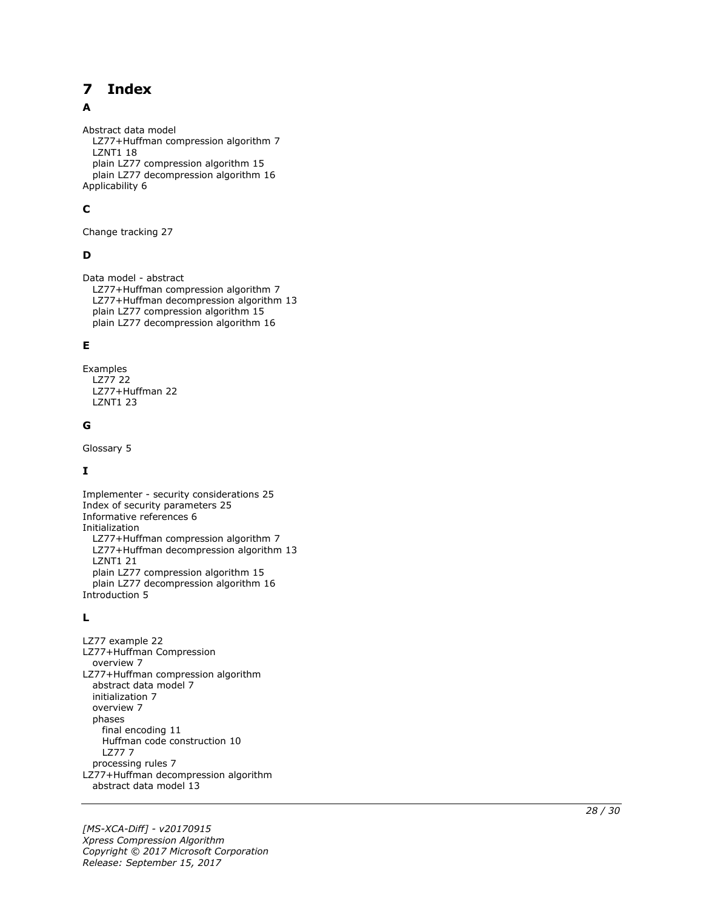#### <span id="page-27-0"></span>**Index**  $\overline{\mathbf{z}}$

### A

Abstract data model LZ77+Huffman compression algorithm 7 LZNT1 18 plain LZ77 compression algorithm 15 plain LZ77 decompression algorithm 16 Applicability 6

# **C**

Change tracking 27

# **D**

Data model - abstract LZ77+Huffman compression algorithm 7 LZ77+Huffman decompression algorithm 13 plain LZ77 compression algorithm 15 plain LZ77 decompression algorithm 16

### **E**

Examples LZ77 22 LZ77+Huffman 22 LZNT1 23

### **G**

Glossary 5

# **I**

Implementer - security considerations 25 Index of security parameters 25 Informative references 6 Initialization LZ77+Huffman compression algorithm 7 LZ77+Huffman decompression algorithm 13 LZNT1 21 plain LZ77 compression algorithm 15 plain LZ77 decompression algorithm 16 Introduction 5

### **L**

**7 Index**<br>
Abstract data model<br>
1.277+Huffman compression algo<br>
plain 1.277 compression algo<br>
plain 1.277 decompression a<br>
plain 1.277 decompression a<br> **C**<br>
Change tracking 27<br> **D**<br>
Data model - abstract<br>
1.277+Huffman d LZ77 example 22 LZ77+Huffman Compression overview 7 LZ77+Huffman compression algorithm abstract data model 7 initialization 7 overview 7 phases final encoding 11 Huffman code construction 10 LZ77 7 processing rules 7 LZ77+Huffman decompression algorithm abstract data model 13

*[MS -XCA -Diff] - v20170915 Xpress Compression Algorithm Copyright © 2017 Microsoft Corporation* Release: September 15, 2017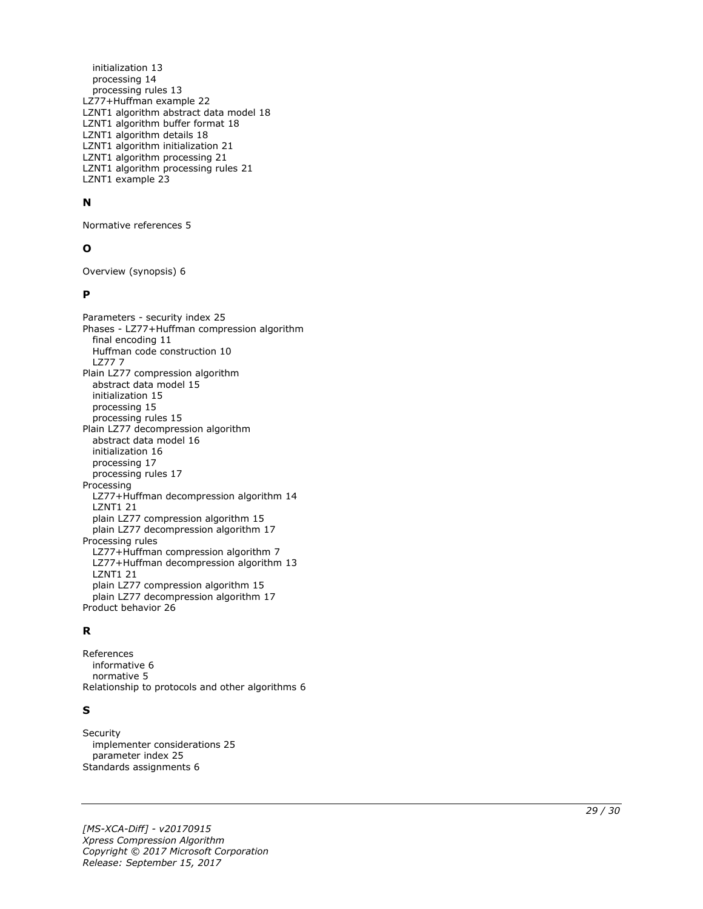initialization 13 processing 14 processing rules 13 LZ77+Huffman example 22 LZNT1 algorithm abstract data model 18 LZNT1 algorithm buffer format 18 LZNT1 algorithm details 18 LZNT1 algorithm initialization 21 LZNT1 algorithm processing 21 LZNT1 algorithm processing rules 21 LZNT1 example 23

#### **N**

Normative references 5

#### **O**

Overview (synopsis) 6

#### **P**

Parameters - security index 25 Phases - LZ77+Huffman compression algorithm final encoding 11 Huffman code construction 10 LZ77 7 Plain LZ77 compression algorithm abstract data model 15 initialization 15 processing 15 processing rules 15 Plain LZ77 decompression algorithm abstract data model 16 initialization 16 processing 17 processing rules 17 Processing LZ77+Huffman decompression algorithm 14 LZNT1 21 plain LZ77 compression algorithm 15 plain LZ77 decompression algorithm 17 Processing rules LZ77+Huffman compression algorithm 7 LZ77+Huffman decompression algorithm 13 LZNT1 21 plain LZ77 compression algorithm 1 5 plain LZ77 decompression algorithm 17 Product behavior 26

#### **R**

References informative 6 normative 5 Relationship to protocols and other algorithms 6

#### **S**

**Security**  implementer considerations 25 parameter index 25 Standards assignments 6

*[MS -XCA -Diff] - v20170915 Xpress Compression Algorithm Copyright © 2017 Microsoft Corporation Release: September 15, 2017*